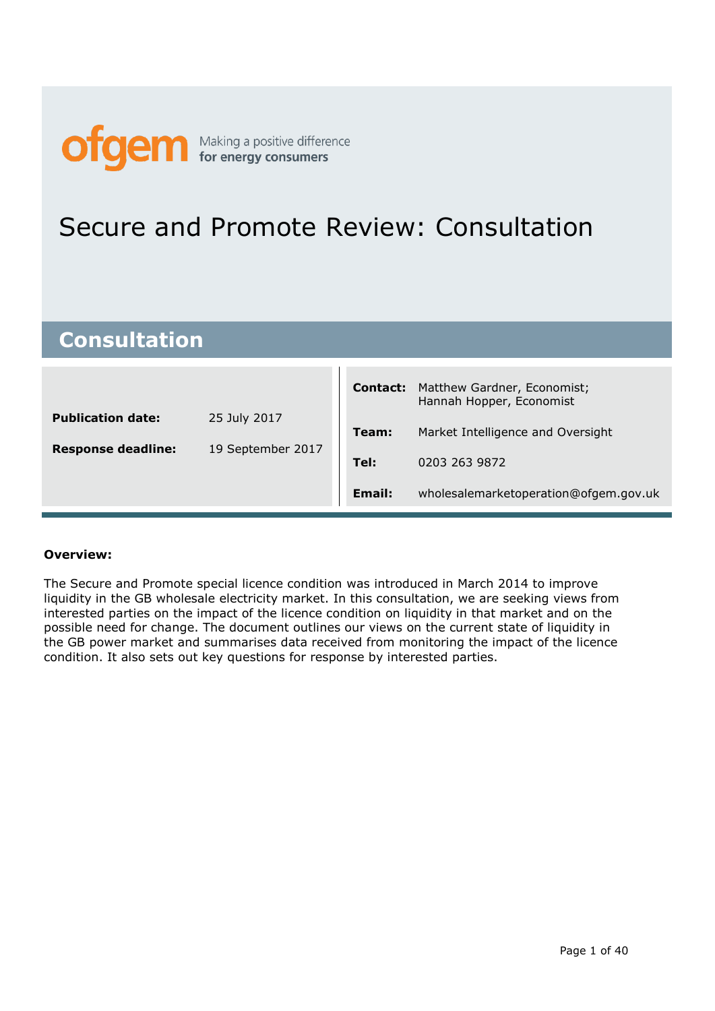

## Secure and Promote Review: Consultation

## **Consultation**

|                           |                   | <b>Contact:</b> | Matthew Gardner, Economist;<br>Hannah Hopper, Economist |
|---------------------------|-------------------|-----------------|---------------------------------------------------------|
| <b>Publication date:</b>  | 25 July 2017      | Team:           | Market Intelligence and Oversight                       |
| <b>Response deadline:</b> | 19 September 2017 | Tel:            | 0203 263 9872                                           |
|                           |                   | Email:          | wholesalemarketoperation@ofgem.gov.uk                   |

 $\blacksquare$ 

## **Overview:**

The Secure and Promote special licence condition was introduced in March 2014 to improve liquidity in the GB wholesale electricity market. In this consultation, we are seeking views from interested parties on the impact of the licence condition on liquidity in that market and on the possible need for change. The document outlines our views on the current state of liquidity in the GB power market and summarises data received from monitoring the impact of the licence condition. It also sets out key questions for response by interested parties.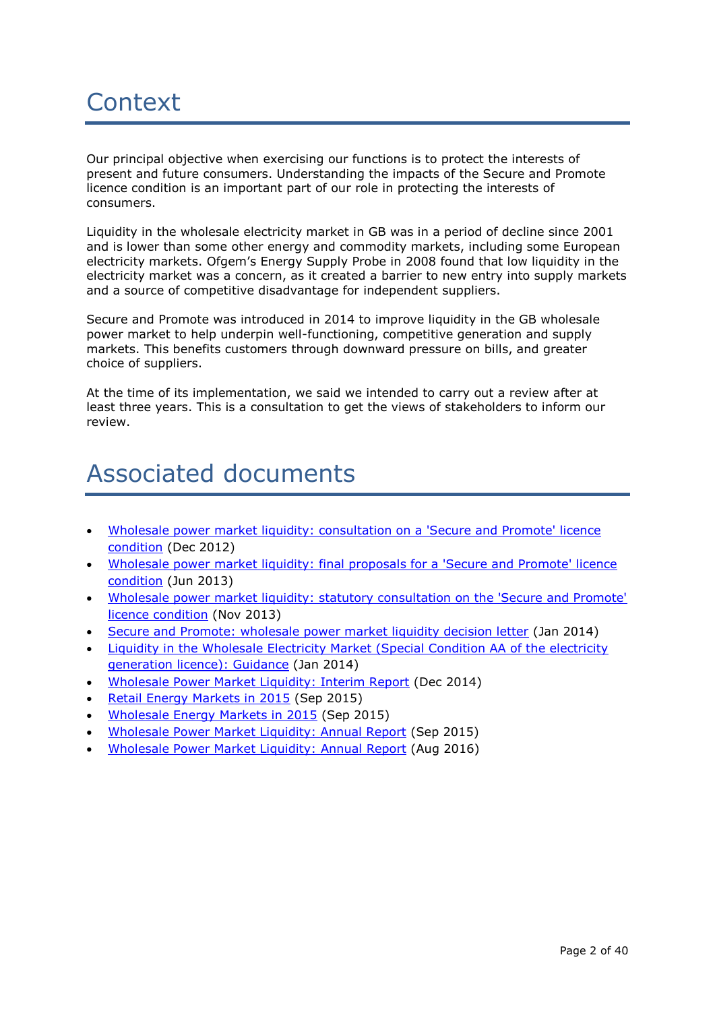# **Context**

Our principal objective when exercising our functions is to protect the interests of present and future consumers. Understanding the impacts of the Secure and Promote licence condition is an important part of our role in protecting the interests of consumers.

Liquidity in the wholesale electricity market in GB was in a period of decline since 2001 and is lower than some other energy and commodity markets, including some European electricity markets. Ofgem's Energy Supply Probe in 2008 found that low liquidity in the electricity market was a concern, as it created a barrier to new entry into supply markets and a source of competitive disadvantage for independent suppliers.

Secure and Promote was introduced in 2014 to improve liquidity in the GB wholesale power market to help underpin well-functioning, competitive generation and supply markets. This benefits customers through downward pressure on bills, and greater choice of suppliers.

At the time of its implementation, we said we intended to carry out a review after at least three years. This is a consultation to get the views of stakeholders to inform our review.

## Associated documents

- [Wholesale power market liquidity: consultation on a 'Secure and Promote' licence](https://www.ofgem.gov.uk/ofgem-publications/39448/secure-and-promote-consultation.pdf)  [condition](https://www.ofgem.gov.uk/ofgem-publications/39448/secure-and-promote-consultation.pdf) (Dec 2012)
- Wholesale power market liquidity: final proposals for a 'Secure and Promote' licence [condition](https://www.ofgem.gov.uk/ofgem-publications/39302/liquidity-final-proposals-120613pdf) (Jun 2013)
- [Wholesale power market liquidity: statutory consultation on the 'Secure and Promote'](https://www.ofgem.gov.uk/sites/default/files/docs/2013/11/wholesale_power_market_liquidity_statutory_consultation_on_the_secure_and_promote_licence_condition.pdf)  [licence condition](https://www.ofgem.gov.uk/sites/default/files/docs/2013/11/wholesale_power_market_liquidity_statutory_consultation_on_the_secure_and_promote_licence_condition.pdf) (Nov 2013)
- [Secure and Promote: wholesale power market liquidity decision letter](https://www.ofgem.gov.uk/sites/default/files/docs/2014/01/wholesale_power_market_liquidity_-_decision_letter_0.pdf) (Jan 2014)
- [Liquidity in the Wholesale Electricity Market \(Special Condition AA of the electricity](https://www.ofgem.gov.uk/ofgem-publications/86717/liquidityinthewholesaleelectricitymarketspecialconditionaaoftheelectricitygenerationlicence-guidance.pdf)  [generation licence\): Guidance](https://www.ofgem.gov.uk/ofgem-publications/86717/liquidityinthewholesaleelectricitymarketspecialconditionaaoftheelectricitygenerationlicence-guidance.pdf) (Jan 2014)
- [Wholesale Power Market Liquidity: Interim Report](https://www.ofgem.gov.uk/sites/default/files/docs/2014/12/liquidity_interim_report_2014.pdf) (Dec 2014)
- [Retail Energy Markets in 2015](https://www.ofgem.gov.uk/sites/default/files/docs/2015/09/retail_energy_markets_in_2015_report_0.pdf) (Sep 2015)
- [Wholesale Energy Markets in 2015](https://www.ofgem.gov.uk/sites/default/files/docs/2015/09/wholesale_energy_markets_in_2015_final_0.pdf) (Sep 2015)
- [Wholesale Power Market Liquidity: Annual Report](https://www.ofgem.gov.uk/sites/default/files/docs/2015/09/wholesale_power_market_liquidity_annual_report_2015_0.pdf) (Sep 2015)
- [Wholesale Power Market Liquidity:](https://www.ofgem.gov.uk/system/files/docs/2016/08/wholesale_power_market_liquidity_annual_report_2016.pdf) Annual Report (Aug 2016)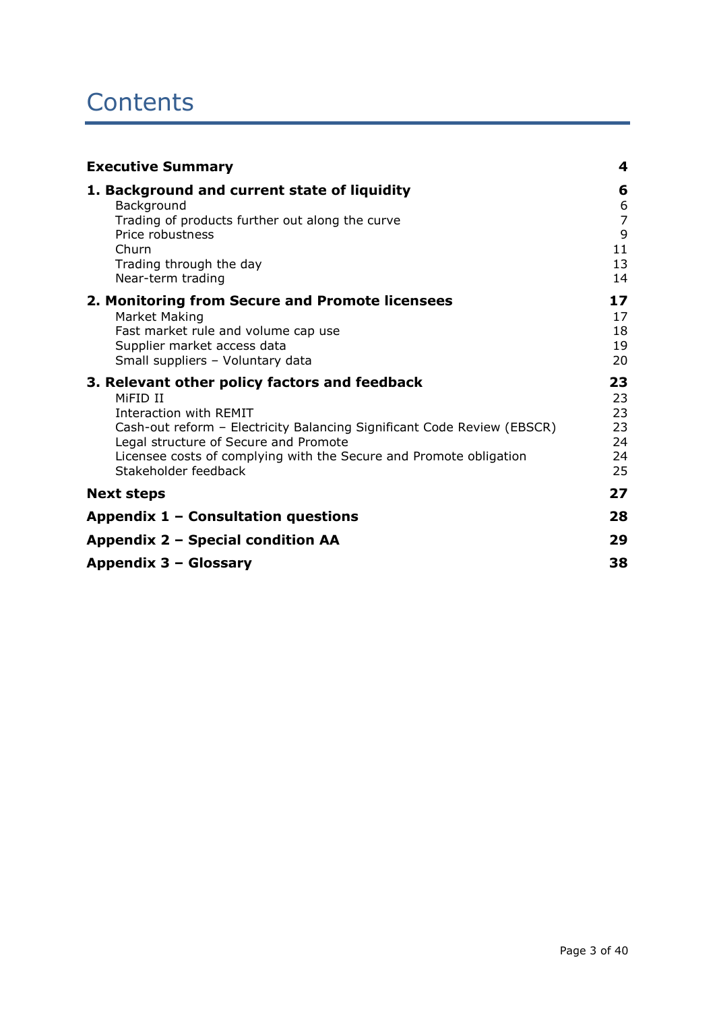## **Contents**

| <b>Executive Summary</b>                                                                                                                                                                                                                                                                              | 4                                               |
|-------------------------------------------------------------------------------------------------------------------------------------------------------------------------------------------------------------------------------------------------------------------------------------------------------|-------------------------------------------------|
| 1. Background and current state of liquidity<br>Background<br>Trading of products further out along the curve<br>Price robustness<br>Churn<br>Trading through the day<br>Near-term trading                                                                                                            | 6<br>6<br>$\overline{7}$<br>9<br>11<br>13<br>14 |
| 2. Monitoring from Secure and Promote licensees<br>Market Making<br>Fast market rule and volume cap use<br>Supplier market access data<br>Small suppliers - Voluntary data                                                                                                                            | 17<br>17<br>18<br>19<br>20                      |
| 3. Relevant other policy factors and feedback<br>MIFID II<br>Interaction with REMIT<br>Cash-out reform - Electricity Balancing Significant Code Review (EBSCR)<br>Legal structure of Secure and Promote<br>Licensee costs of complying with the Secure and Promote obligation<br>Stakeholder feedback | 23<br>23<br>23<br>23<br>24<br>24<br>25          |
| <b>Next steps</b>                                                                                                                                                                                                                                                                                     | 27                                              |
| Appendix 1 - Consultation questions                                                                                                                                                                                                                                                                   | 28                                              |
| Appendix 2 – Special condition AA                                                                                                                                                                                                                                                                     | 29                                              |
| Appendix 3 - Glossary                                                                                                                                                                                                                                                                                 | 38                                              |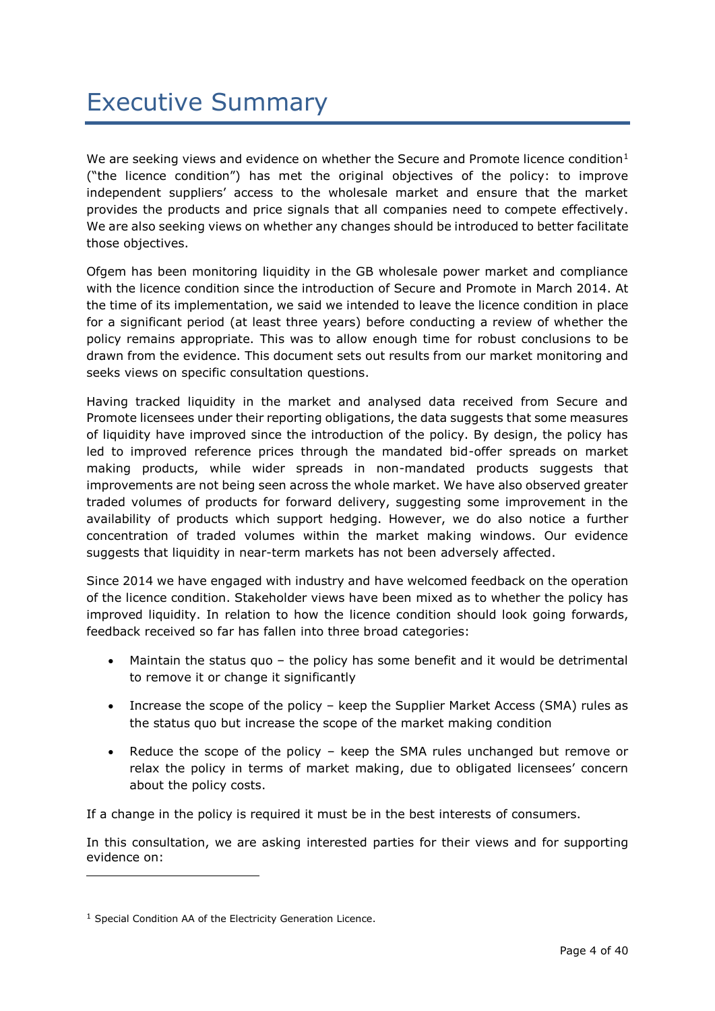We are seeking views and evidence on whether the Secure and Promote licence condition $1$ ("the licence condition") has met the original objectives of the policy: to improve independent suppliers' access to the wholesale market and ensure that the market provides the products and price signals that all companies need to compete effectively. We are also seeking views on whether any changes should be introduced to better facilitate those objectives.

Ofgem has been monitoring liquidity in the GB wholesale power market and compliance with the licence condition since the introduction of Secure and Promote in March 2014. At the time of its implementation, we said we intended to leave the licence condition in place for a significant period (at least three years) before conducting a review of whether the policy remains appropriate. This was to allow enough time for robust conclusions to be drawn from the evidence. This document sets out results from our market monitoring and seeks views on specific consultation questions.

Having tracked liquidity in the market and analysed data received from Secure and Promote licensees under their reporting obligations, the data suggests that some measures of liquidity have improved since the introduction of the policy. By design, the policy has led to improved reference prices through the mandated bid-offer spreads on market making products, while wider spreads in non-mandated products suggests that improvements are not being seen across the whole market. We have also observed greater traded volumes of products for forward delivery, suggesting some improvement in the availability of products which support hedging. However, we do also notice a further concentration of traded volumes within the market making windows. Our evidence suggests that liquidity in near-term markets has not been adversely affected.

Since 2014 we have engaged with industry and have welcomed feedback on the operation of the licence condition. Stakeholder views have been mixed as to whether the policy has improved liquidity. In relation to how the licence condition should look going forwards, feedback received so far has fallen into three broad categories:

- Maintain the status quo the policy has some benefit and it would be detrimental to remove it or change it significantly
- Increase the scope of the policy keep the Supplier Market Access (SMA) rules as the status quo but increase the scope of the market making condition
- Reduce the scope of the policy keep the SMA rules unchanged but remove or relax the policy in terms of market making, due to obligated licensees' concern about the policy costs.

If a change in the policy is required it must be in the best interests of consumers.

In this consultation, we are asking interested parties for their views and for supporting evidence on:

-

<sup>1</sup> Special Condition AA of the Electricity Generation Licence.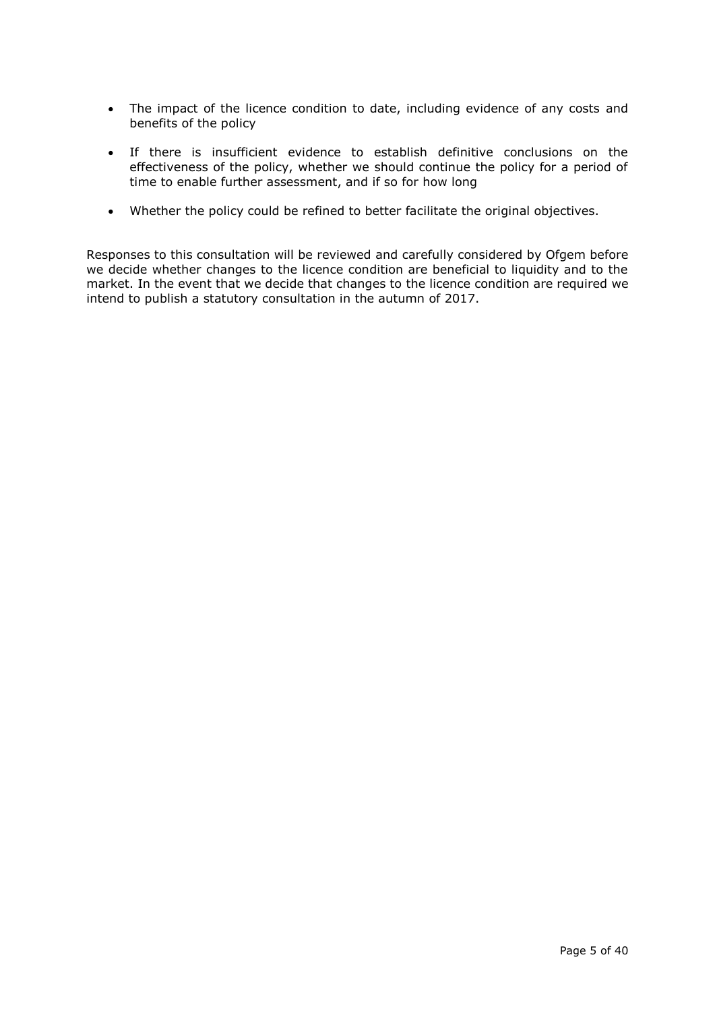- The impact of the licence condition to date, including evidence of any costs and benefits of the policy
- If there is insufficient evidence to establish definitive conclusions on the effectiveness of the policy, whether we should continue the policy for a period of time to enable further assessment, and if so for how long
- Whether the policy could be refined to better facilitate the original objectives.

Responses to this consultation will be reviewed and carefully considered by Ofgem before we decide whether changes to the licence condition are beneficial to liquidity and to the market. In the event that we decide that changes to the licence condition are required we intend to publish a statutory consultation in the autumn of 2017.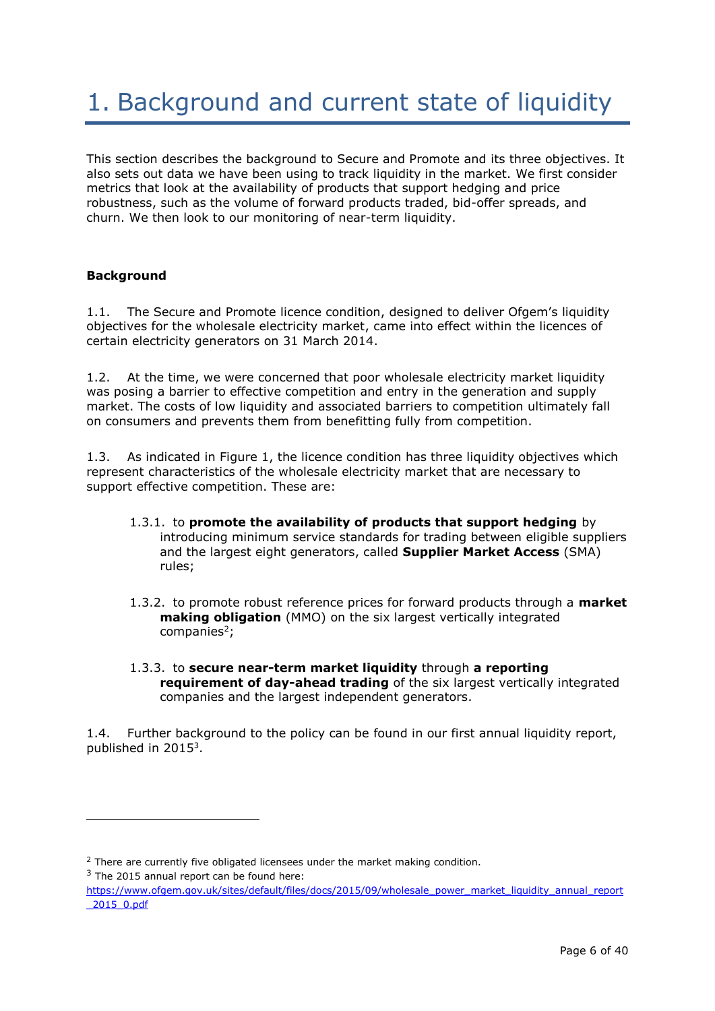# 1. Background and current state of liquidity

This section describes the background to Secure and Promote and its three objectives. It also sets out data we have been using to track liquidity in the market. We first consider metrics that look at the availability of products that support hedging and price robustness, such as the volume of forward products traded, bid-offer spreads, and churn. We then look to our monitoring of near-term liquidity.

## **Background**

1.1. The Secure and Promote licence condition, designed to deliver Ofgem's liquidity objectives for the wholesale electricity market, came into effect within the licences of certain electricity generators on 31 March 2014.

1.2. At the time, we were concerned that poor wholesale electricity market liquidity was posing a barrier to effective competition and entry in the generation and supply market. The costs of low liquidity and associated barriers to competition ultimately fall on consumers and prevents them from benefitting fully from competition.

1.3. As indicated in Figure 1, the licence condition has three liquidity objectives which represent characteristics of the wholesale electricity market that are necessary to support effective competition. These are:

- 1.3.1. to **promote the availability of products that support hedging** by introducing minimum service standards for trading between eligible suppliers and the largest eight generators, called **Supplier Market Access** (SMA) rules;
- 1.3.2. to promote robust reference prices for forward products through a **market making obligation** (MMO) on the six largest vertically integrated companies $2$ ;
- 1.3.3. to **secure near-term market liquidity** through **a reporting requirement of day-ahead trading** of the six largest vertically integrated companies and the largest independent generators.

1.4. Further background to the policy can be found in our first annual liquidity report, published in  $2015<sup>3</sup>$ .

-

 $2$  There are currently five obligated licensees under the market making condition.

 $3$  The 2015 annual report can be found here:

[https://www.ofgem.gov.uk/sites/default/files/docs/2015/09/wholesale\\_power\\_market\\_liquidity\\_annual\\_report](https://www.ofgem.gov.uk/sites/default/files/docs/2015/09/wholesale_power_market_liquidity_annual_report_2015_0.pdf) [\\_2015\\_0.pdf](https://www.ofgem.gov.uk/sites/default/files/docs/2015/09/wholesale_power_market_liquidity_annual_report_2015_0.pdf)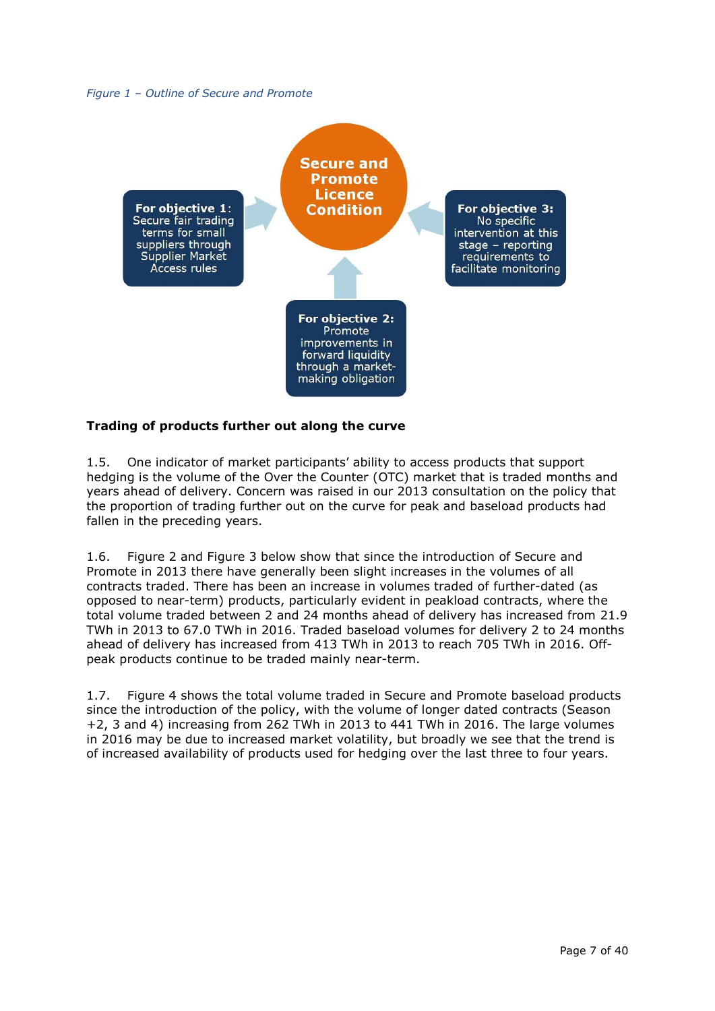#### *Figure 1 – Outline of Secure and Promote*



## **Trading of products further out along the curve**

1.5. One indicator of market participants' ability to access products that support hedging is the volume of the Over the Counter (OTC) market that is traded months and years ahead of delivery. Concern was raised in our 2013 consultation on the policy that the proportion of trading further out on the curve for peak and baseload products had fallen in the preceding years.

1.6. Figure 2 and Figure 3 below show that since the introduction of Secure and Promote in 2013 there have generally been slight increases in the volumes of all contracts traded. There has been an increase in volumes traded of further-dated (as opposed to near-term) products, particularly evident in peakload contracts, where the total volume traded between 2 and 24 months ahead of delivery has increased from 21.9 TWh in 2013 to 67.0 TWh in 2016. Traded baseload volumes for delivery 2 to 24 months ahead of delivery has increased from 413 TWh in 2013 to reach 705 TWh in 2016. Offpeak products continue to be traded mainly near-term.

1.7. [Figure 4](#page-8-0) shows the total volume traded in Secure and Promote baseload products since the introduction of the policy, with the volume of longer dated contracts (Season +2, 3 and 4) increasing from 262 TWh in 2013 to 441 TWh in 2016. The large volumes in 2016 may be due to increased market volatility, but broadly we see that the trend is of increased availability of products used for hedging over the last three to four years.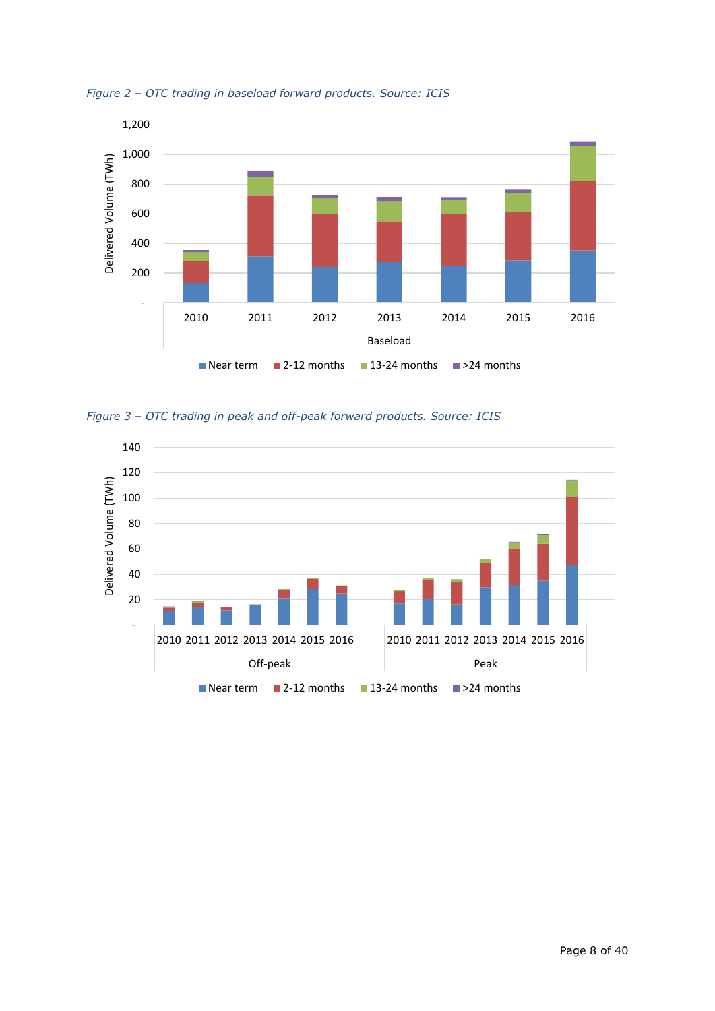

*Figure 2 – OTC trading in baseload forward products. Source: ICIS*

*Figure 3 – OTC trading in peak and off-peak forward products. Source: ICIS*

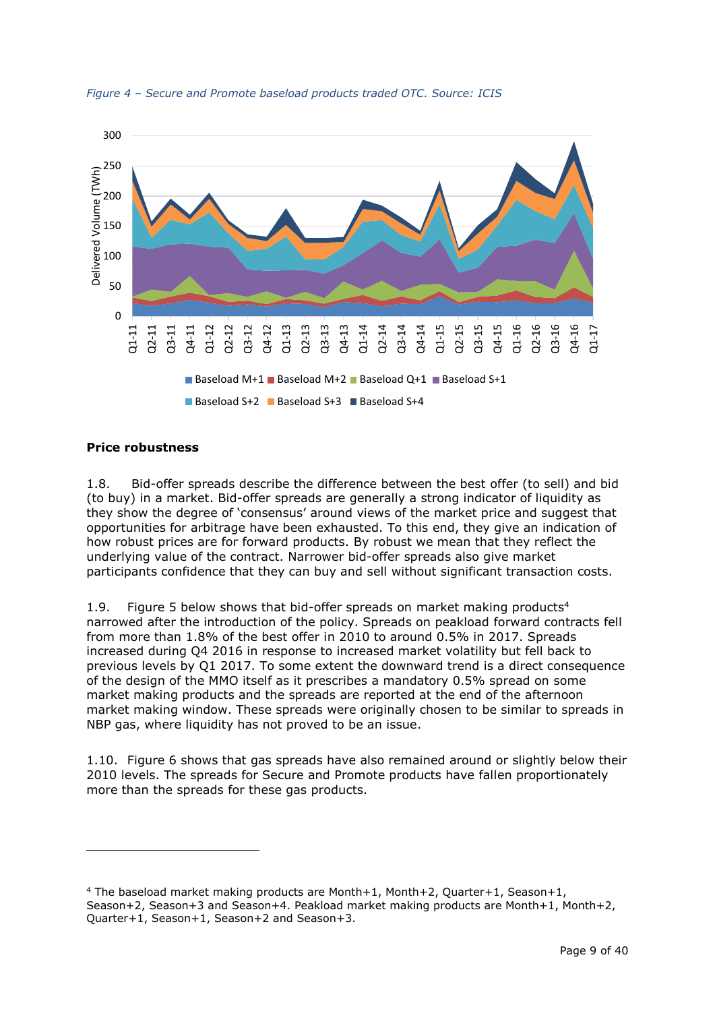

<span id="page-8-0"></span>*Figure 4 – Secure and Promote baseload products traded OTC. Source: ICIS*

## **Price robustness**

-

1.8. Bid-offer spreads describe the difference between the best offer (to sell) and bid (to buy) in a market. Bid-offer spreads are generally a strong indicator of liquidity as they show the degree of 'consensus' around views of the market price and suggest that opportunities for arbitrage have been exhausted. To this end, they give an indication of how robust prices are for forward products. By robust we mean that they reflect the underlying value of the contract. Narrower bid-offer spreads also give market participants confidence that they can buy and sell without significant transaction costs.

1.9. [Figure 5](#page-9-0) below shows that bid-offer spreads on market making products<sup>4</sup> narrowed after the introduction of the policy. Spreads on peakload forward contracts fell from more than 1.8% of the best offer in 2010 to around 0.5% in 2017. Spreads increased during Q4 2016 in response to increased market volatility but fell back to previous levels by Q1 2017. To some extent the downward trend is a direct consequence of the design of the MMO itself as it prescribes a mandatory 0.5% spread on some market making products and the spreads are reported at the end of the afternoon market making window. These spreads were originally chosen to be similar to spreads in NBP gas, where liquidity has not proved to be an issue.

1.10. [Figure 6](#page-9-1) shows that gas spreads have also remained around or slightly below their 2010 levels. The spreads for Secure and Promote products have fallen proportionately more than the spreads for these gas products.

<sup>&</sup>lt;sup>4</sup> The baseload market making products are Month+1, Month+2, Quarter+1, Season+1, Season+2, Season+3 and Season+4. Peakload market making products are Month+1, Month+2, Quarter+1, Season+1, Season+2 and Season+3.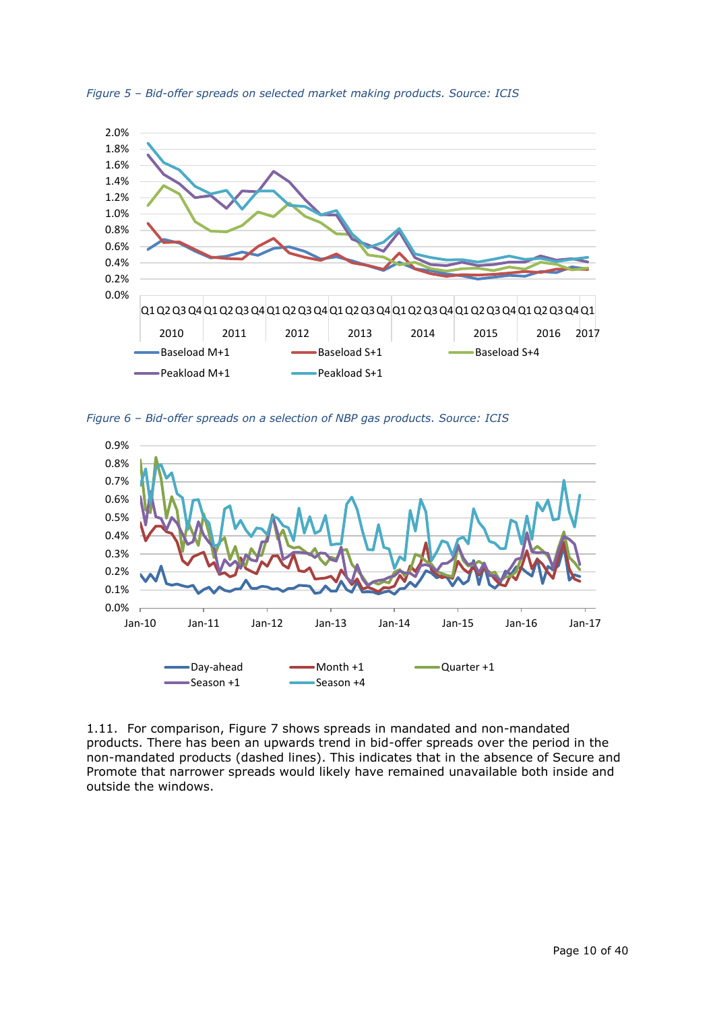

<span id="page-9-0"></span>*Figure 5 – Bid-offer spreads on selected market making products. Source: ICIS*

<span id="page-9-1"></span>*Figure 6 – Bid-offer spreads on a selection of NBP gas products. Source: ICIS*



1.11. For comparison, [Figure 7](#page-10-0) shows spreads in mandated and non-mandated products. There has been an upwards trend in bid-offer spreads over the period in the non-mandated products (dashed lines). This indicates that in the absence of Secure and Promote that narrower spreads would likely have remained unavailable both inside and outside the windows.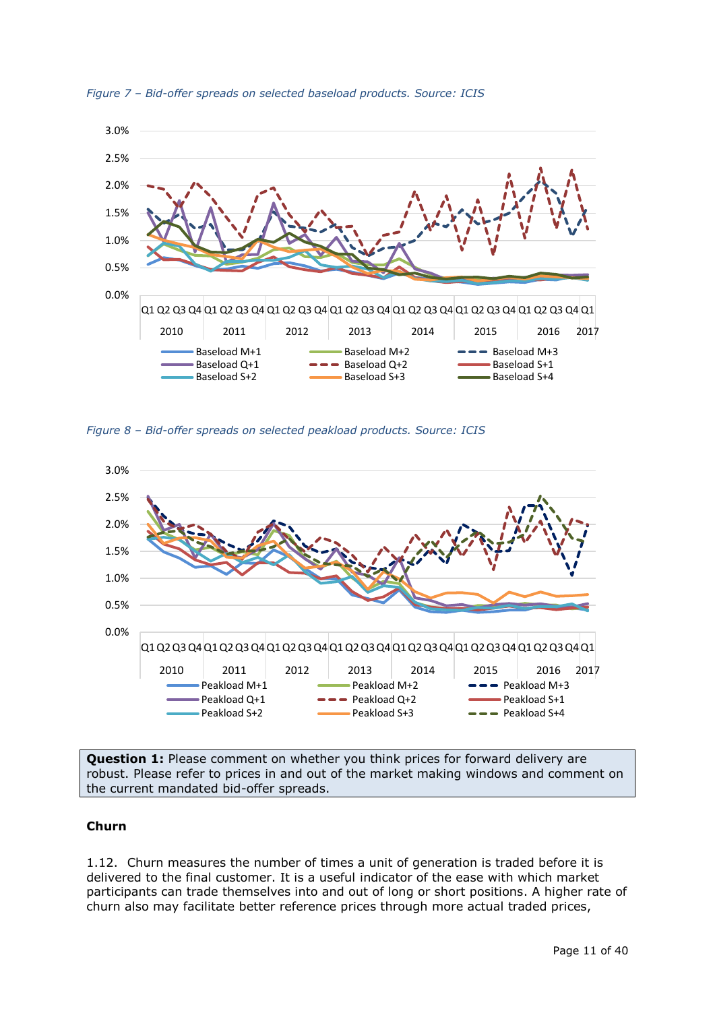

<span id="page-10-0"></span>*Figure 7 – Bid-offer spreads on selected baseload products. Source: ICIS*

*Figure 8 – Bid-offer spreads on selected peakload products. Source: ICIS*



**Question 1:** Please comment on whether you think prices for forward delivery are robust. Please refer to prices in and out of the market making windows and comment on the current mandated bid-offer spreads.

### **Churn**

1.12. Churn measures the number of times a unit of generation is traded before it is delivered to the final customer. It is a useful indicator of the ease with which market participants can trade themselves into and out of long or short positions. A higher rate of churn also may facilitate better reference prices through more actual traded prices,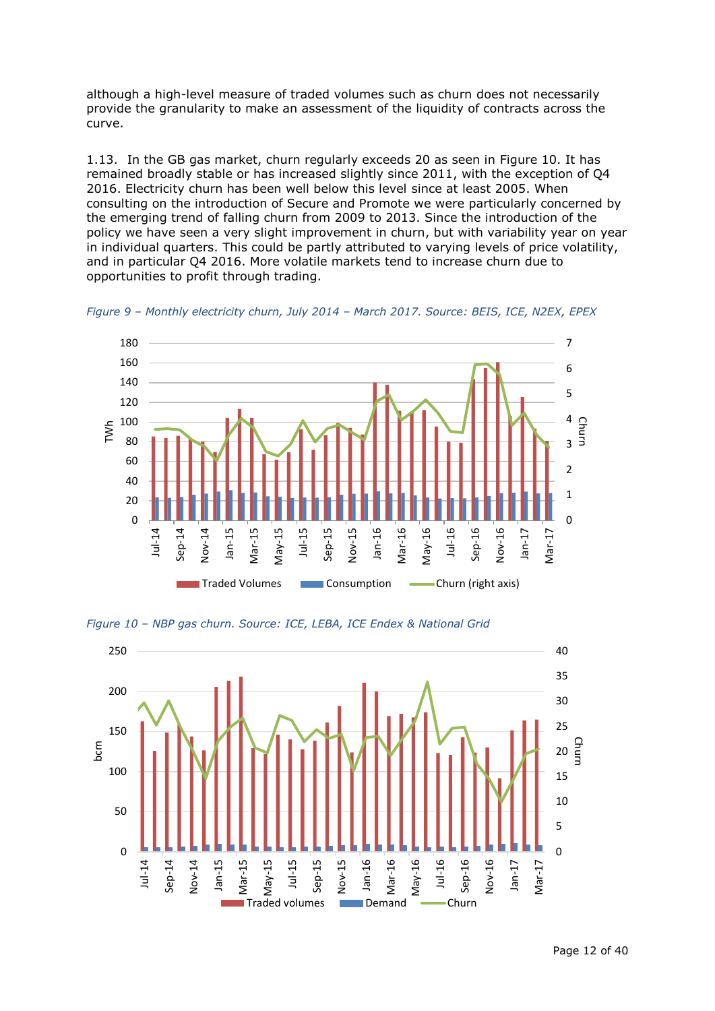although a high-level measure of traded volumes such as churn does not necessarily provide the granularity to make an assessment of the liquidity of contracts across the curve.

1.13. In the GB gas market, churn regularly exceeds 20 as seen in [Figure 10.](#page-11-0) It has remained broadly stable or has increased slightly since 2011, with the exception of Q4 2016. Electricity churn has been well below this level since at least 2005. When consulting on the introduction of Secure and Promote we were particularly concerned by the emerging trend of falling churn from 2009 to 2013. Since the introduction of the policy we have seen a very slight improvement in churn, but with variability year on year in individual quarters. This could be partly attributed to varying levels of price volatility, and in particular Q4 2016. More volatile markets tend to increase churn due to opportunities to profit through trading.



*Figure 9 – Monthly electricity churn, July 2014 – March 2017. Source: BEIS, ICE, N2EX, EPEX*

<span id="page-11-0"></span>*Figure 10 – NBP gas churn. Source: ICE, LEBA, ICE Endex & National Grid*

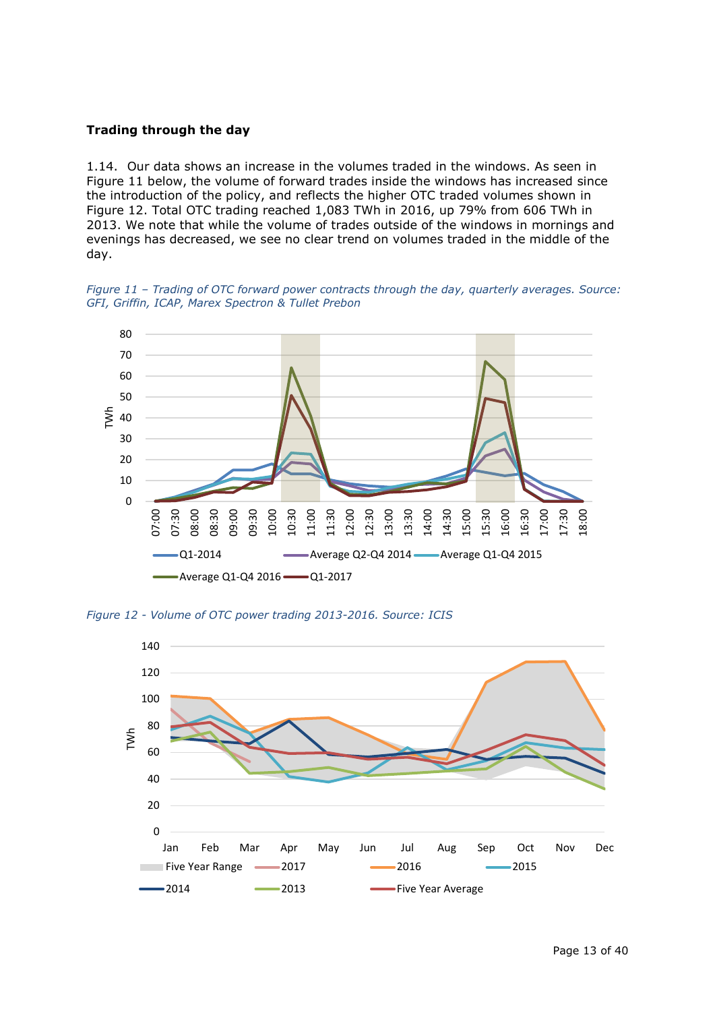## **Trading through the day**

1.14. Our data shows an increase in the volumes traded in the windows. As seen in [Figure 11](#page-12-0) below, the volume of forward trades inside the windows has increased since the introduction of the policy, and reflects the higher OTC traded volumes shown in [Figure 12.](#page-12-1) Total OTC trading reached 1,083 TWh in 2016, up 79% from 606 TWh in 2013. We note that while the volume of trades outside of the windows in mornings and evenings has decreased, we see no clear trend on volumes traded in the middle of the day.

<span id="page-12-0"></span>*Figure 11 – Trading of OTC forward power contracts through the day, quarterly averages. Source: GFI, Griffin, ICAP, Marex Spectron & Tullet Prebon*



<span id="page-12-1"></span>*Figure 12 - Volume of OTC power trading 2013-2016. Source: ICIS*

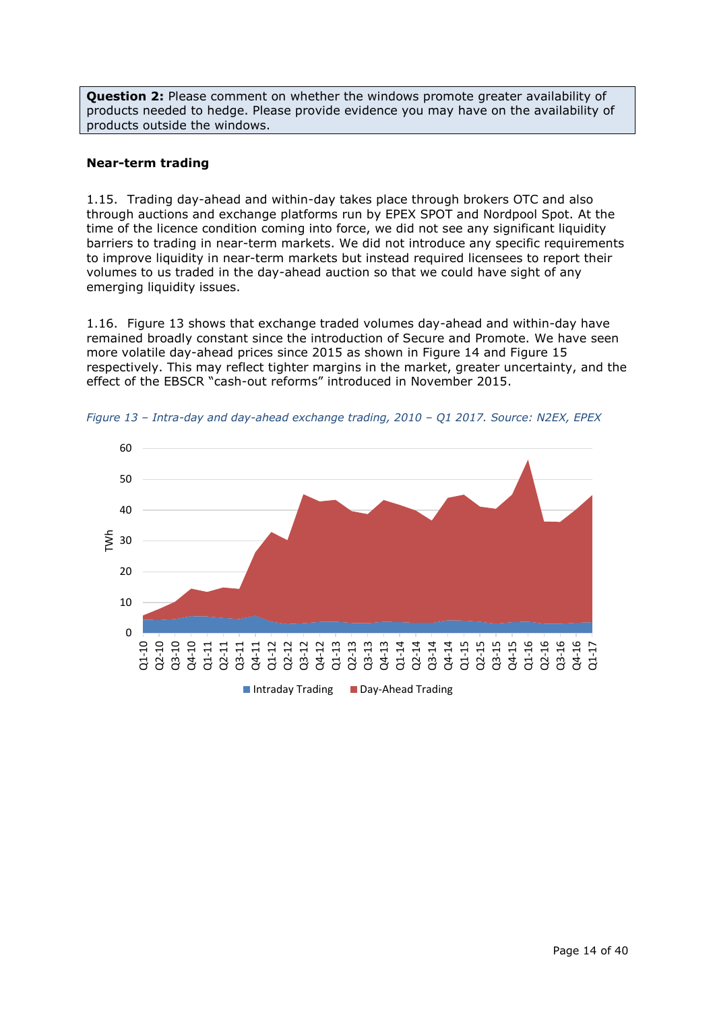**Question 2:** Please comment on whether the windows promote greater availability of products needed to hedge. Please provide evidence you may have on the availability of products outside the windows.

## **Near-term trading**

1.15. Trading day-ahead and within-day takes place through brokers OTC and also through auctions and exchange platforms run by EPEX SPOT and Nordpool Spot. At the time of the licence condition coming into force, we did not see any significant liquidity barriers to trading in near-term markets. We did not introduce any specific requirements to improve liquidity in near-term markets but instead required licensees to report their volumes to us traded in the day-ahead auction so that we could have sight of any emerging liquidity issues.

1.16. [Figure 13](#page-13-0) shows that exchange traded volumes day-ahead and within-day have remained broadly constant since the introduction of Secure and Promote. We have seen more volatile day-ahead prices since 2015 as shown in [Figure 14](#page-14-0) and [Figure](#page-14-1) 15 respectively. This may reflect tighter margins in the market, greater uncertainty, and the effect of the EBSCR "cash-out reforms" introduced in November 2015.



<span id="page-13-0"></span>*Figure 13 – Intra-day and day-ahead exchange trading, 2010 – Q1 2017. Source: N2EX, EPEX*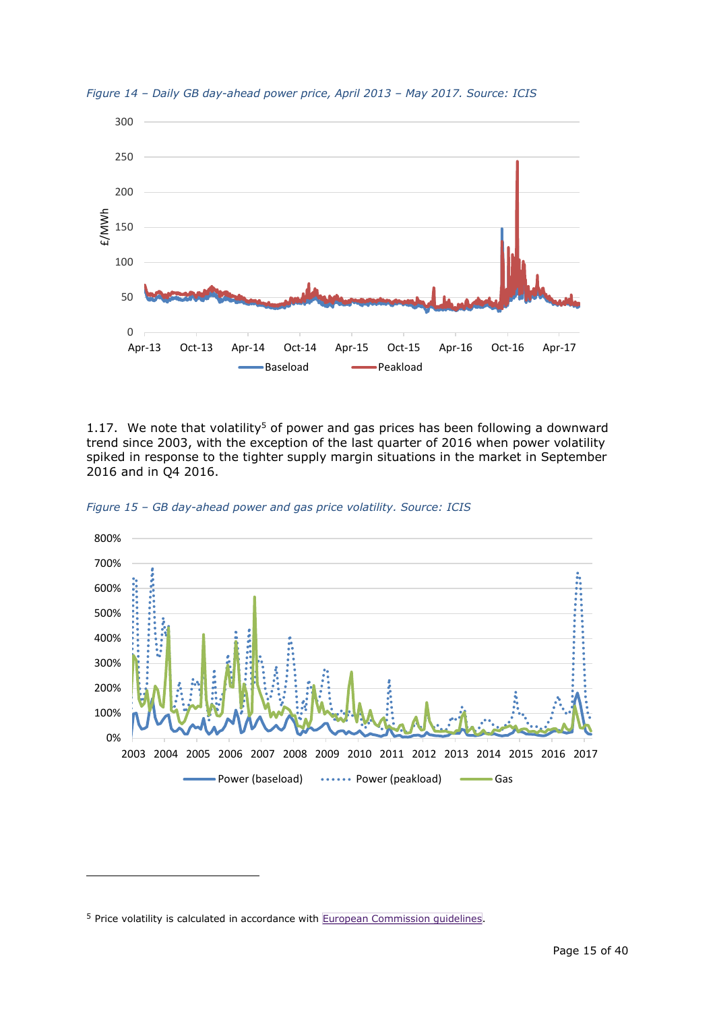

<span id="page-14-0"></span>*Figure 14 – Daily GB day-ahead power price, April 2013 – May 2017. Source: ICIS*

1.17. We note that volatility<sup>5</sup> of power and gas prices has been following a downward trend since 2003, with the exception of the last quarter of 2016 when power volatility spiked in response to the tighter supply margin situations in the market in September 2016 and in Q4 2016.



<span id="page-14-1"></span>*Figure 15 – GB day-ahead power and gas price volatility. Source: ICIS*

-

<sup>&</sup>lt;sup>5</sup> Price volatility is calculated in accordance with **European [Commission](http://ec.europa.eu/energy/sites/ener/files/documents/volatility_methodology.pdf) quidelines**.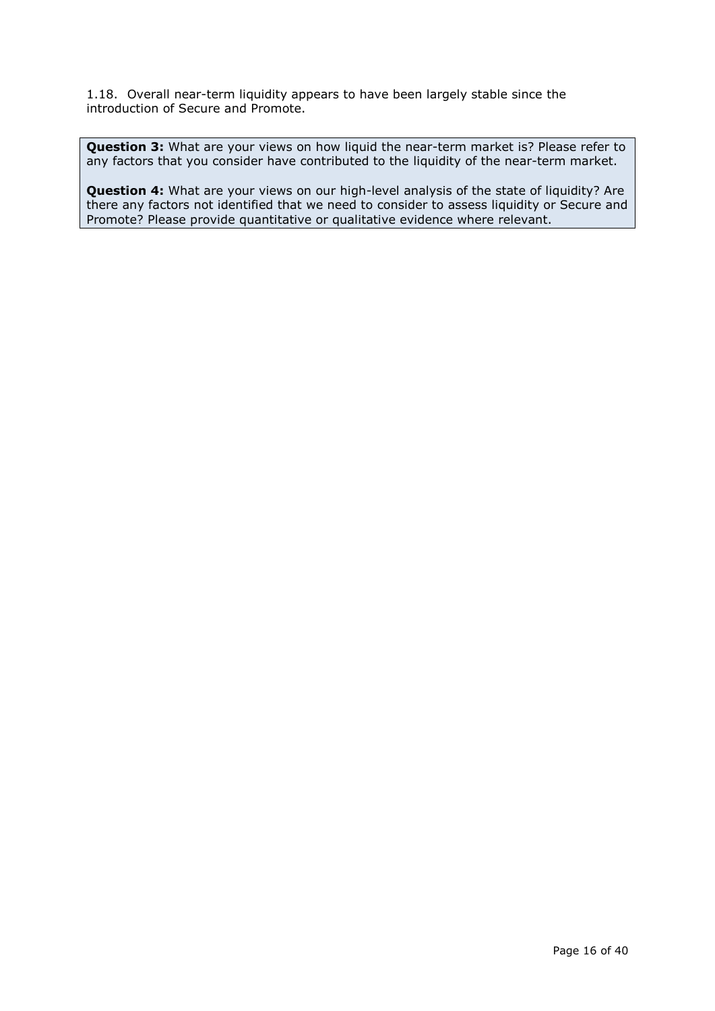1.18. Overall near-term liquidity appears to have been largely stable since the introduction of Secure and Promote.

**Question 3:** What are your views on how liquid the near-term market is? Please refer to any factors that you consider have contributed to the liquidity of the near-term market.

**Question 4:** What are your views on our high-level analysis of the state of liquidity? Are there any factors not identified that we need to consider to assess liquidity or Secure and Promote? Please provide quantitative or qualitative evidence where relevant.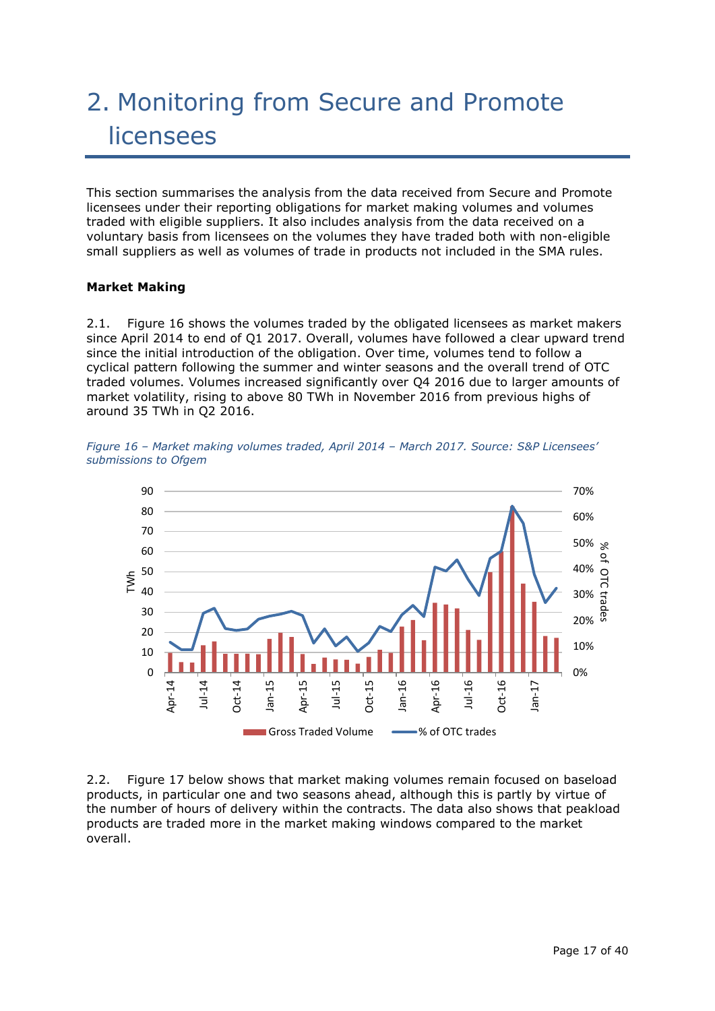# 2. Monitoring from Secure and Promote licensees

This section summarises the analysis from the data received from Secure and Promote licensees under their reporting obligations for market making volumes and volumes traded with eligible suppliers. It also includes analysis from the data received on a voluntary basis from licensees on the volumes they have traded both with non-eligible small suppliers as well as volumes of trade in products not included in the SMA rules.

## **Market Making**

2.1. [Figure 16](#page-16-0) shows the volumes traded by the obligated licensees as market makers since April 2014 to end of Q1 2017. Overall, volumes have followed a clear upward trend since the initial introduction of the obligation. Over time, volumes tend to follow a cyclical pattern following the summer and winter seasons and the overall trend of OTC traded volumes. Volumes increased significantly over Q4 2016 due to larger amounts of market volatility, rising to above 80 TWh in November 2016 from previous highs of around 35 TWh in Q2 2016.

<span id="page-16-0"></span>*Figure 16 – Market making volumes traded, April 2014 – March 2017. Source: S&P Licensees' submissions to Ofgem*



2.2. [Figure 17](#page-17-0) below shows that market making volumes remain focused on baseload products, in particular one and two seasons ahead, although this is partly by virtue of the number of hours of delivery within the contracts. The data also shows that peakload products are traded more in the market making windows compared to the market overall.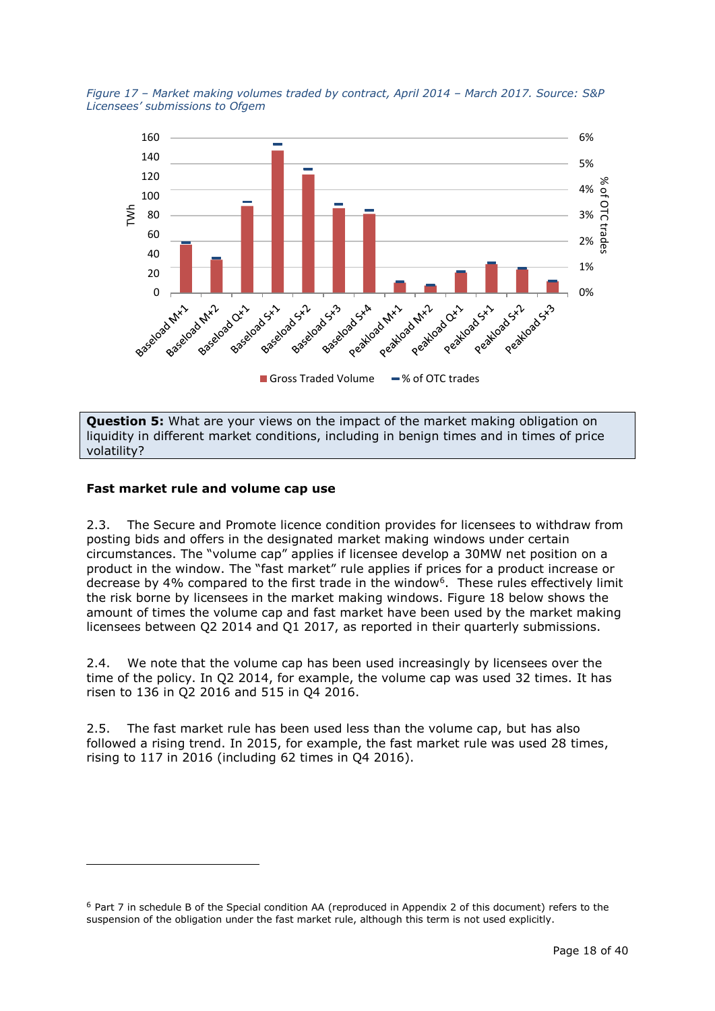<span id="page-17-0"></span>



**Question 5:** What are your views on the impact of the market making obligation on liquidity in different market conditions, including in benign times and in times of price volatility?

## **Fast market rule and volume cap use**

-

2.3. The Secure and Promote licence condition provides for licensees to withdraw from posting bids and offers in the designated market making windows under certain circumstances. The "volume cap" applies if licensee develop a 30MW net position on a product in the window. The "fast market" rule applies if prices for a product increase or decrease by 4% compared to the first trade in the window<sup>6</sup>. These rules effectively limit the risk borne by licensees in the market making windows. [Figure 18](#page-18-0) below shows the amount of times the volume cap and fast market have been used by the market making licensees between Q2 2014 and Q1 2017, as reported in their quarterly submissions.

2.4. We note that the volume cap has been used increasingly by licensees over the time of the policy. In Q2 2014, for example, the volume cap was used 32 times. It has risen to 136 in Q2 2016 and 515 in Q4 2016.

2.5. The fast market rule has been used less than the volume cap, but has also followed a rising trend. In 2015, for example, the fast market rule was used 28 times, rising to 117 in 2016 (including 62 times in Q4 2016).

<sup>6</sup> Part 7 in schedule B of the Special condition AA (reproduced in Appendix 2 of this document) refers to the suspension of the obligation under the fast market rule, although this term is not used explicitly.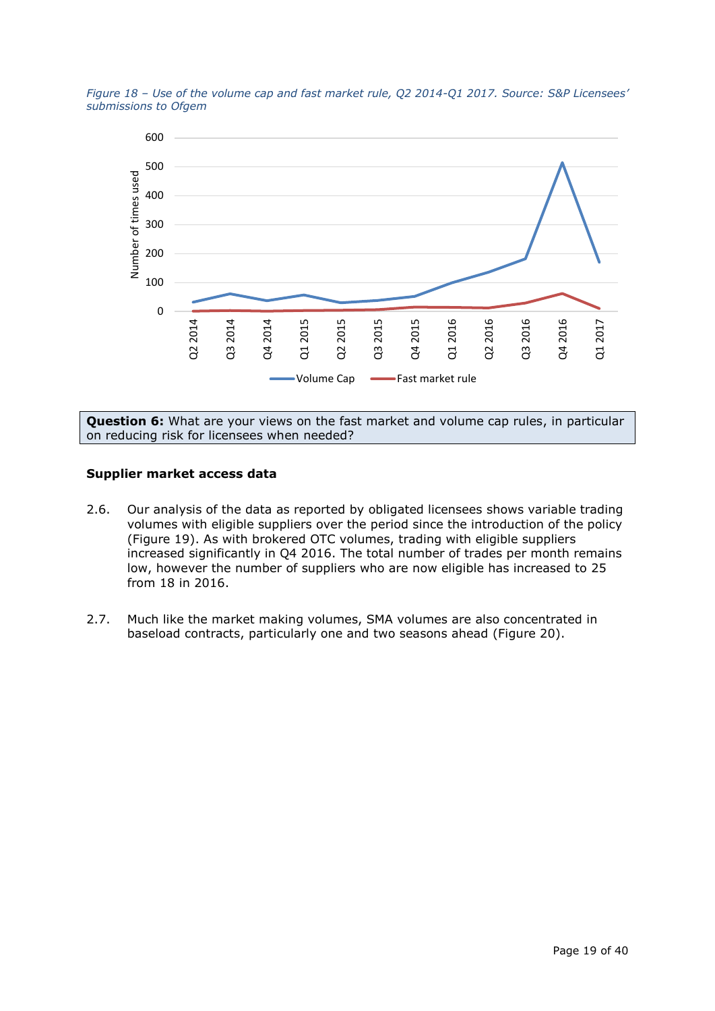<span id="page-18-0"></span>*Figure 18 – Use of the volume cap and fast market rule, Q2 2014-Q1 2017. Source: S&P Licensees' submissions to Ofgem*



**Question 6:** What are your views on the fast market and volume cap rules, in particular on reducing risk for licensees when needed?

### **Supplier market access data**

- 2.6. Our analysis of the data as reported by obligated licensees shows variable trading volumes with eligible suppliers over the period since the introduction of the policy [\(Figure 19\)](#page-19-0). As with brokered OTC volumes, trading with eligible suppliers increased significantly in Q4 2016. The total number of trades per month remains low, however the number of suppliers who are now eligible has increased to 25 from 18 in 2016.
- 2.7. Much like the market making volumes, SMA volumes are also concentrated in baseload contracts, particularly one and two seasons ahead [\(Figure 20\)](#page-19-1).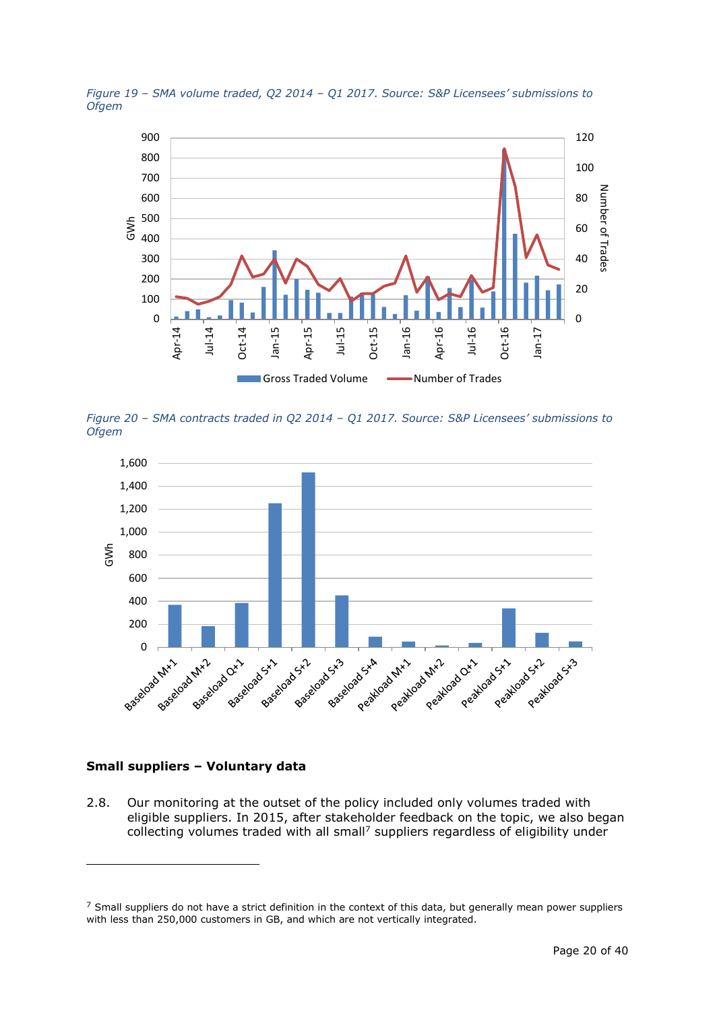<span id="page-19-0"></span>



<span id="page-19-1"></span>*Figure 20 – SMA contracts traded in Q2 2014 – Q1 2017. Source: S&P Licensees' submissions to Ofgem*



### **Small suppliers – Voluntary data**

-

2.8. Our monitoring at the outset of the policy included only volumes traded with eligible suppliers. In 2015, after stakeholder feedback on the topic, we also began collecting volumes traded with all small<sup>7</sup> suppliers regardless of eligibility under

 $7$  Small suppliers do not have a strict definition in the context of this data, but generally mean power suppliers with less than 250,000 customers in GB, and which are not vertically integrated.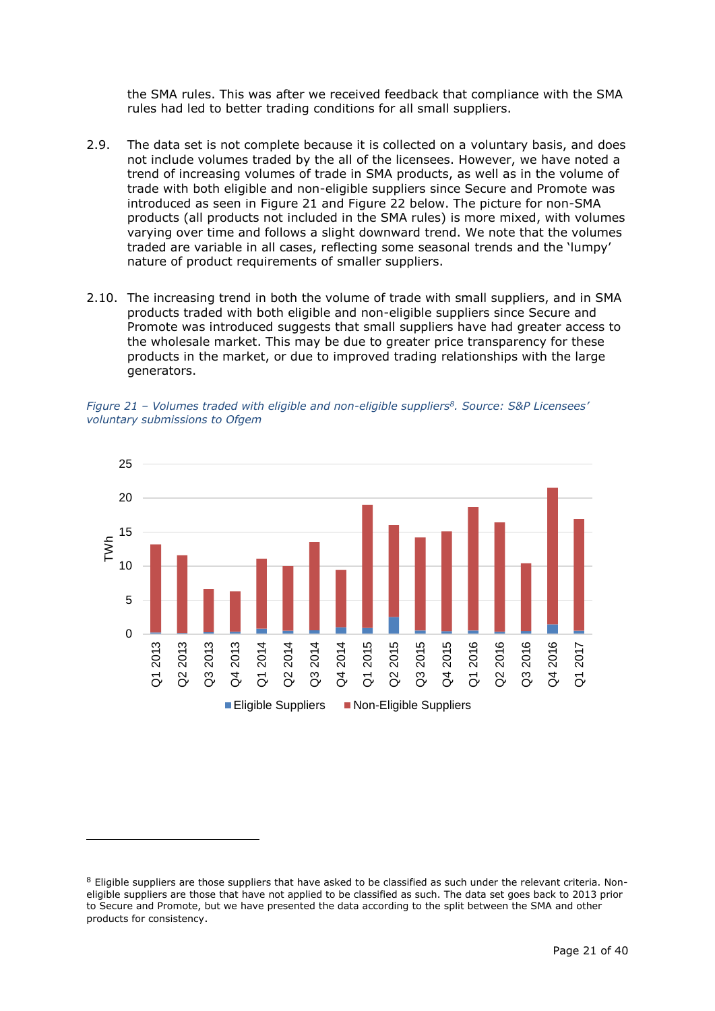the SMA rules. This was after we received feedback that compliance with the SMA rules had led to better trading conditions for all small suppliers.

- 2.9. The data set is not complete because it is collected on a voluntary basis, and does not include volumes traded by the all of the licensees. However, we have noted a trend of increasing volumes of trade in SMA products, as well as in the volume of trade with both eligible and non-eligible suppliers since Secure and Promote was introduced as seen in [Figure 21](#page-20-0) and [Figure 22](#page-21-0) below. The picture for non-SMA products (all products not included in the SMA rules) is more mixed, with volumes varying over time and follows a slight downward trend. We note that the volumes traded are variable in all cases, reflecting some seasonal trends and the 'lumpy' nature of product requirements of smaller suppliers.
- 2.10. The increasing trend in both the volume of trade with small suppliers, and in SMA products traded with both eligible and non-eligible suppliers since Secure and Promote was introduced suggests that small suppliers have had greater access to the wholesale market. This may be due to greater price transparency for these products in the market, or due to improved trading relationships with the large generators.

<span id="page-20-0"></span>*Figure 21 – Volumes traded with eligible and non-eligible suppliers<sup>8</sup> . Source: S&P Licensees' voluntary submissions to Ofgem*



-

<sup>&</sup>lt;sup>8</sup> Eligible suppliers are those suppliers that have asked to be classified as such under the relevant criteria. Noneligible suppliers are those that have not applied to be classified as such. The data set goes back to 2013 prior to Secure and Promote, but we have presented the data according to the split between the SMA and other products for consistency.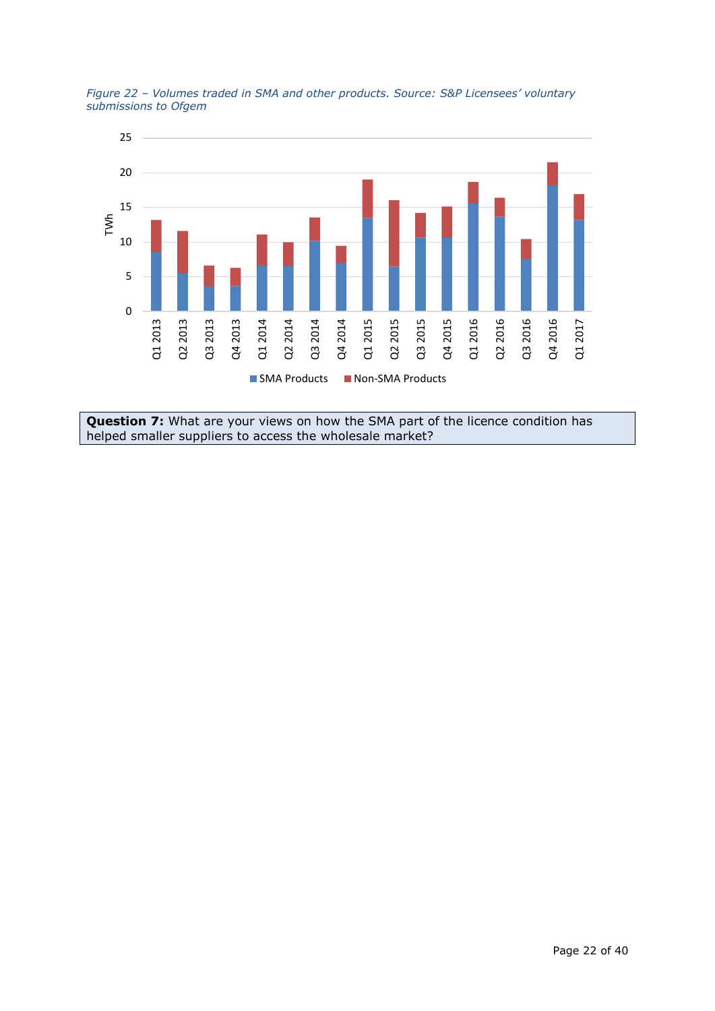

<span id="page-21-0"></span>*Figure 22 – Volumes traded in SMA and other products. Source: S&P Licensees' voluntary submissions to Ofgem*

**Question 7:** What are your views on how the SMA part of the licence condition has helped smaller suppliers to access the wholesale market?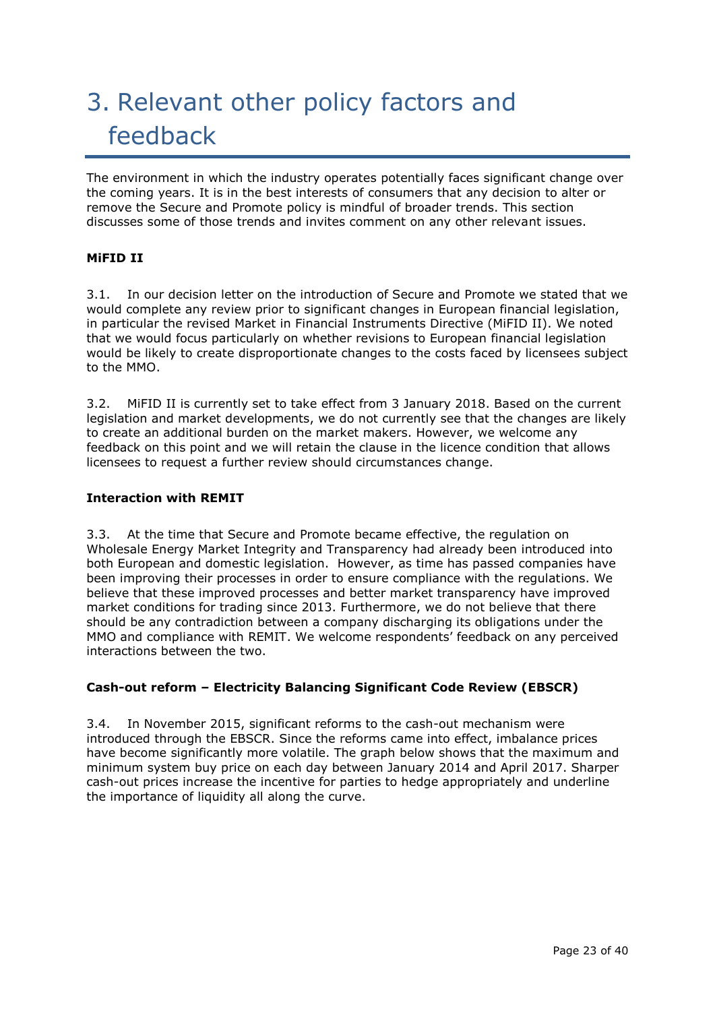# 3. Relevant other policy factors and feedback

The environment in which the industry operates potentially faces significant change over the coming years. It is in the best interests of consumers that any decision to alter or remove the Secure and Promote policy is mindful of broader trends. This section discusses some of those trends and invites comment on any other relevant issues.

## **MiFID II**

3.1. In our decision letter on the introduction of Secure and Promote we stated that we would complete any review prior to significant changes in European financial legislation, in particular the revised Market in Financial Instruments Directive (MiFID II). We noted that we would focus particularly on whether revisions to European financial legislation would be likely to create disproportionate changes to the costs faced by licensees subject to the MMO.

3.2. MiFID II is currently set to take effect from 3 January 2018. Based on the current legislation and market developments, we do not currently see that the changes are likely to create an additional burden on the market makers. However, we welcome any feedback on this point and we will retain the clause in the licence condition that allows licensees to request a further review should circumstances change.

## **Interaction with REMIT**

3.3. At the time that Secure and Promote became effective, the regulation on Wholesale Energy Market Integrity and Transparency had already been introduced into both European and domestic legislation. However, as time has passed companies have been improving their processes in order to ensure compliance with the regulations. We believe that these improved processes and better market transparency have improved market conditions for trading since 2013. Furthermore, we do not believe that there should be any contradiction between a company discharging its obligations under the MMO and compliance with REMIT. We welcome respondents' feedback on any perceived interactions between the two.

## **Cash-out reform – Electricity Balancing Significant Code Review (EBSCR)**

3.4. In November 2015, significant reforms to the cash-out mechanism were introduced through the EBSCR. Since the reforms came into effect, imbalance prices have become significantly more volatile. The graph below shows that the maximum and minimum system buy price on each day between January 2014 and April 2017. Sharper cash-out prices increase the incentive for parties to hedge appropriately and underline the importance of liquidity all along the curve.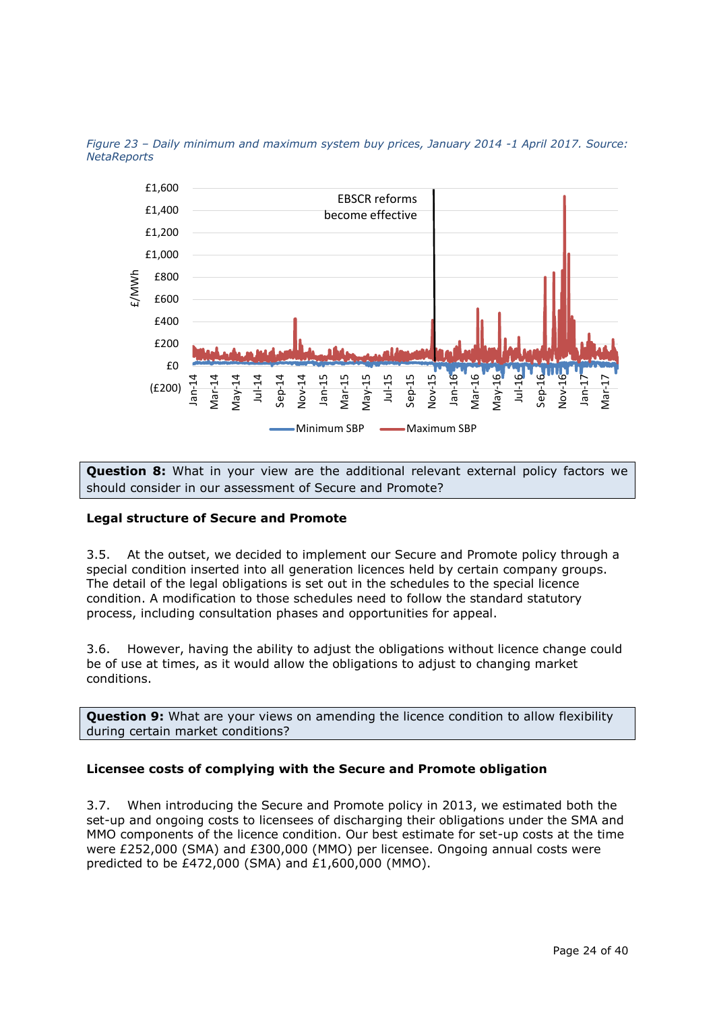

*Figure 23 – Daily minimum and maximum system buy prices, January 2014 -1 April 2017. Source: NetaReports*

**Question 8:** What in your view are the additional relevant external policy factors we should consider in our assessment of Secure and Promote?

## **Legal structure of Secure and Promote**

3.5. At the outset, we decided to implement our Secure and Promote policy through a special condition inserted into all generation licences held by certain company groups. The detail of the legal obligations is set out in the schedules to the special licence condition. A modification to those schedules need to follow the standard statutory process, including consultation phases and opportunities for appeal.

3.6. However, having the ability to adjust the obligations without licence change could be of use at times, as it would allow the obligations to adjust to changing market conditions.

**Question 9:** What are your views on amending the licence condition to allow flexibility during certain market conditions?

## **Licensee costs of complying with the Secure and Promote obligation**

3.7. When introducing the Secure and Promote policy in 2013, we estimated both the set-up and ongoing costs to licensees of discharging their obligations under the SMA and MMO components of the licence condition. Our best estimate for set-up costs at the time were £252,000 (SMA) and £300,000 (MMO) per licensee. Ongoing annual costs were predicted to be £472,000 (SMA) and £1,600,000 (MMO).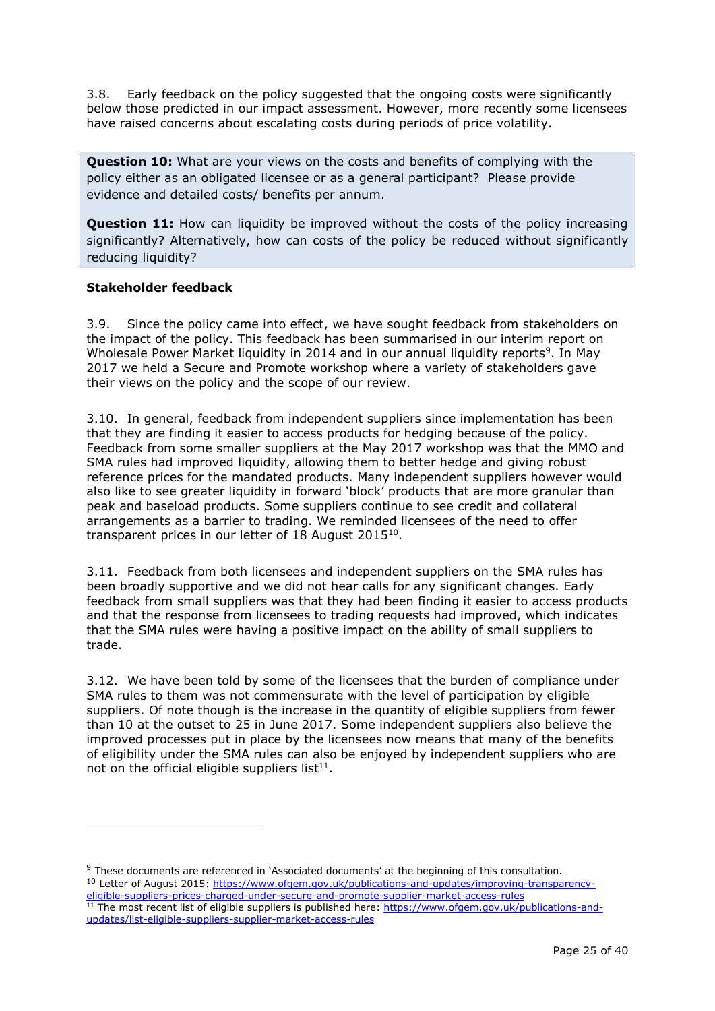3.8. Early feedback on the policy suggested that the ongoing costs were significantly below those predicted in our impact assessment. However, more recently some licensees have raised concerns about escalating costs during periods of price volatility.

**Question 10:** What are your views on the costs and benefits of complying with the policy either as an obligated licensee or as a general participant? Please provide evidence and detailed costs/ benefits per annum.

**Question 11:** How can liquidity be improved without the costs of the policy increasing significantly? Alternatively, how can costs of the policy be reduced without significantly reducing liquidity?

## **Stakeholder feedback**

-

3.9. Since the policy came into effect, we have sought feedback from stakeholders on the impact of the policy. This feedback has been summarised in our interim report on Wholesale Power Market liquidity in 2014 and in our annual liquidity reports<sup>9</sup>. In May 2017 we held a Secure and Promote workshop where a variety of stakeholders gave their views on the policy and the scope of our review.

3.10. In general, feedback from independent suppliers since implementation has been that they are finding it easier to access products for hedging because of the policy. Feedback from some smaller suppliers at the May 2017 workshop was that the MMO and SMA rules had improved liquidity, allowing them to better hedge and giving robust reference prices for the mandated products. Many independent suppliers however would also like to see greater liquidity in forward 'block' products that are more granular than peak and baseload products. Some suppliers continue to see credit and collateral arrangements as a barrier to trading. We reminded licensees of the need to offer transparent prices in our letter of 18 August  $2015^{10}$ .

3.11. Feedback from both licensees and independent suppliers on the SMA rules has been broadly supportive and we did not hear calls for any significant changes. Early feedback from small suppliers was that they had been finding it easier to access products and that the response from licensees to trading requests had improved, which indicates that the SMA rules were having a positive impact on the ability of small suppliers to trade.

3.12. We have been told by some of the licensees that the burden of compliance under SMA rules to them was not commensurate with the level of participation by eligible suppliers. Of note though is the increase in the quantity of eligible suppliers from fewer than 10 at the outset to 25 in June 2017. Some independent suppliers also believe the improved processes put in place by the licensees now means that many of the benefits of eligibility under the SMA rules can also be enjoyed by independent suppliers who are not on the official eligible suppliers list $11$ .

<sup>9</sup> These documents are referenced in 'Associated documents' at the beginning of this consultation. <sup>10</sup> Letter of August 2015: [https://www.ofgem.gov.uk/publications-and-updates/improving-transparency-](https://www.ofgem.gov.uk/publications-and-updates/improving-transparency-eligible-suppliers-prices-charged-under-secure-and-promote-supplier-market-access-rules)

[eligible-suppliers-prices-charged-under-secure-and-promote-supplier-market-access-rules](https://www.ofgem.gov.uk/publications-and-updates/improving-transparency-eligible-suppliers-prices-charged-under-secure-and-promote-supplier-market-access-rules) <sup>11</sup> The most recent list of eligible suppliers is published here: [https://www.ofgem.gov.uk/publications-and](https://www.ofgem.gov.uk/publications-and-updates/list-eligible-suppliers-supplier-market-access-rules)[updates/list-eligible-suppliers-supplier-market-access-rules](https://www.ofgem.gov.uk/publications-and-updates/list-eligible-suppliers-supplier-market-access-rules)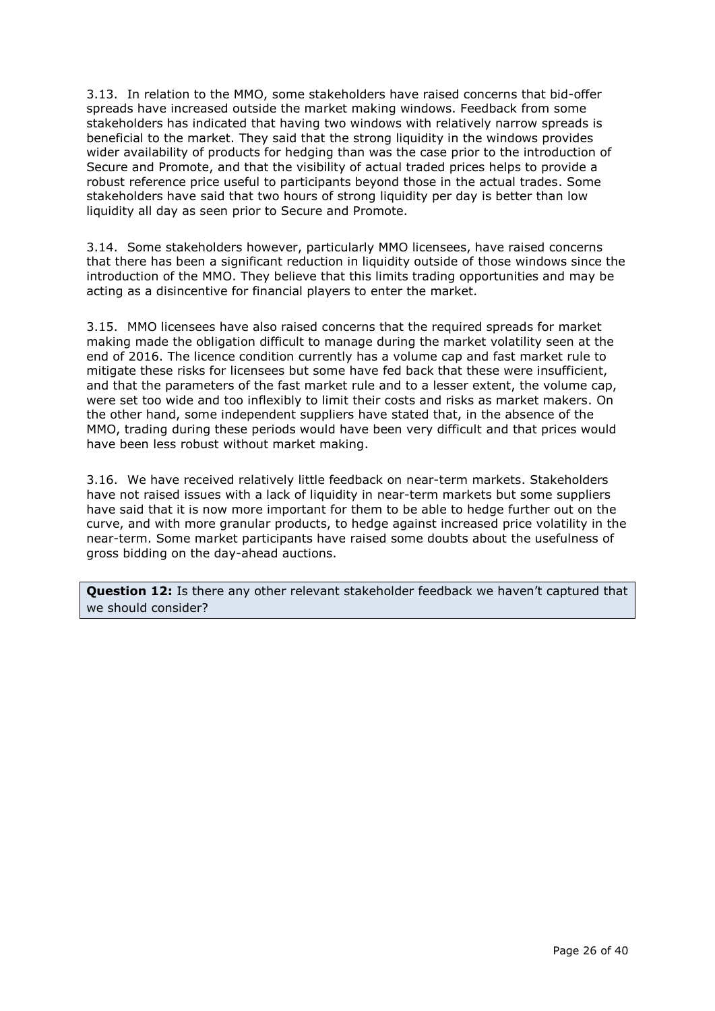3.13. In relation to the MMO, some stakeholders have raised concerns that bid-offer spreads have increased outside the market making windows. Feedback from some stakeholders has indicated that having two windows with relatively narrow spreads is beneficial to the market. They said that the strong liquidity in the windows provides wider availability of products for hedging than was the case prior to the introduction of Secure and Promote, and that the visibility of actual traded prices helps to provide a robust reference price useful to participants beyond those in the actual trades. Some stakeholders have said that two hours of strong liquidity per day is better than low liquidity all day as seen prior to Secure and Promote.

3.14. Some stakeholders however, particularly MMO licensees, have raised concerns that there has been a significant reduction in liquidity outside of those windows since the introduction of the MMO. They believe that this limits trading opportunities and may be acting as a disincentive for financial players to enter the market.

3.15. MMO licensees have also raised concerns that the required spreads for market making made the obligation difficult to manage during the market volatility seen at the end of 2016. The licence condition currently has a volume cap and fast market rule to mitigate these risks for licensees but some have fed back that these were insufficient, and that the parameters of the fast market rule and to a lesser extent, the volume cap, were set too wide and too inflexibly to limit their costs and risks as market makers. On the other hand, some independent suppliers have stated that, in the absence of the MMO, trading during these periods would have been very difficult and that prices would have been less robust without market making.

3.16. We have received relatively little feedback on near-term markets. Stakeholders have not raised issues with a lack of liquidity in near-term markets but some suppliers have said that it is now more important for them to be able to hedge further out on the curve, and with more granular products, to hedge against increased price volatility in the near-term. Some market participants have raised some doubts about the usefulness of gross bidding on the day-ahead auctions.

**Question 12:** Is there any other relevant stakeholder feedback we haven't captured that we should consider?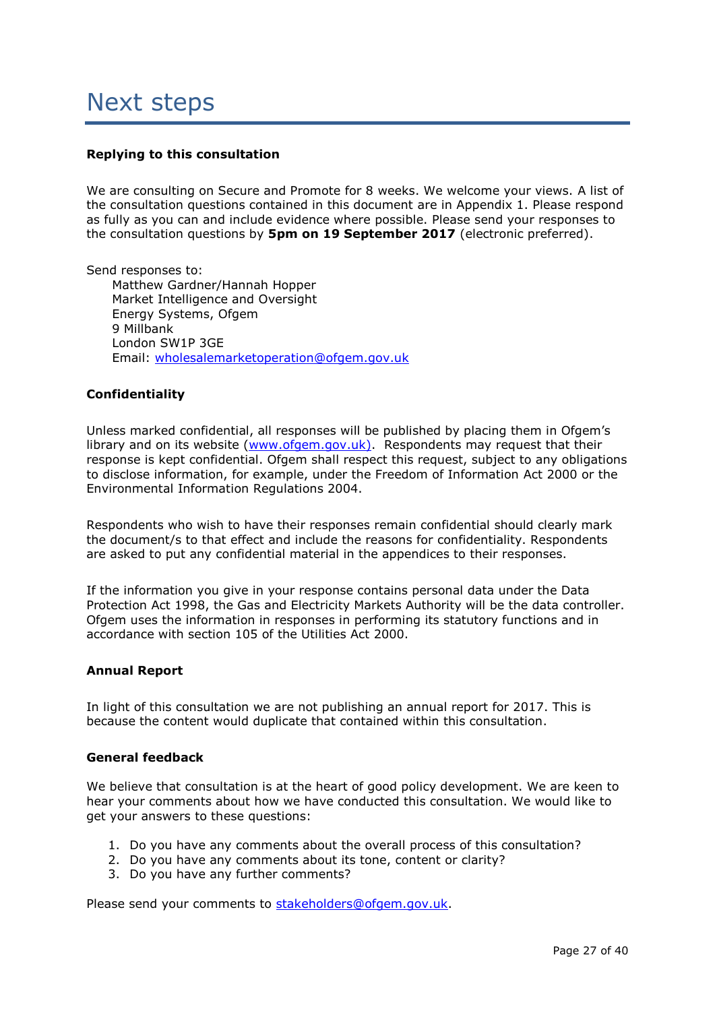## Next steps

## **Replying to this consultation**

We are consulting on Secure and Promote for 8 weeks. We welcome your views. A list of the consultation questions contained in this document are in Appendix 1. Please respond as fully as you can and include evidence where possible. Please send your responses to the consultation questions by **5pm on 19 September 2017** (electronic preferred).

Send responses to: Matthew Gardner/Hannah Hopper Market Intelligence and Oversight Energy Systems, Ofgem 9 Millbank London SW1P 3GE Email: [wholesalemarketoperation@ofgem.gov.uk](mailto:wholesalemarketoperation@ofgem.gov.uk)

### **Confidentiality**

Unless marked confidential, all responses will be published by placing them in Ofgem's library and on its website [\(www.ofgem.gov.uk\)](http://www.ofgem.gov.uk/). Respondents may request that their response is kept confidential. Ofgem shall respect this request, subject to any obligations to disclose information, for example, under the Freedom of Information Act 2000 or the Environmental Information Regulations 2004.

Respondents who wish to have their responses remain confidential should clearly mark the document/s to that effect and include the reasons for confidentiality. Respondents are asked to put any confidential material in the appendices to their responses.

If the information you give in your response contains personal data under the Data Protection Act 1998, the Gas and Electricity Markets Authority will be the data controller. Ofgem uses the information in responses in performing its statutory functions and in accordance with section 105 of the Utilities Act 2000.

### **Annual Report**

In light of this consultation we are not publishing an annual report for 2017. This is because the content would duplicate that contained within this consultation.

### **General feedback**

We believe that consultation is at the heart of good policy development. We are keen to hear your comments about how we have conducted this consultation. We would like to get your answers to these questions:

- 1. Do you have any comments about the overall process of this consultation?
- 2. Do you have any comments about its tone, content or clarity?
- 3. Do you have any further comments?

Please send your comments to [stakeholders@ofgem.gov.uk.](mailto:stakeholders@ofgem.gov.uk)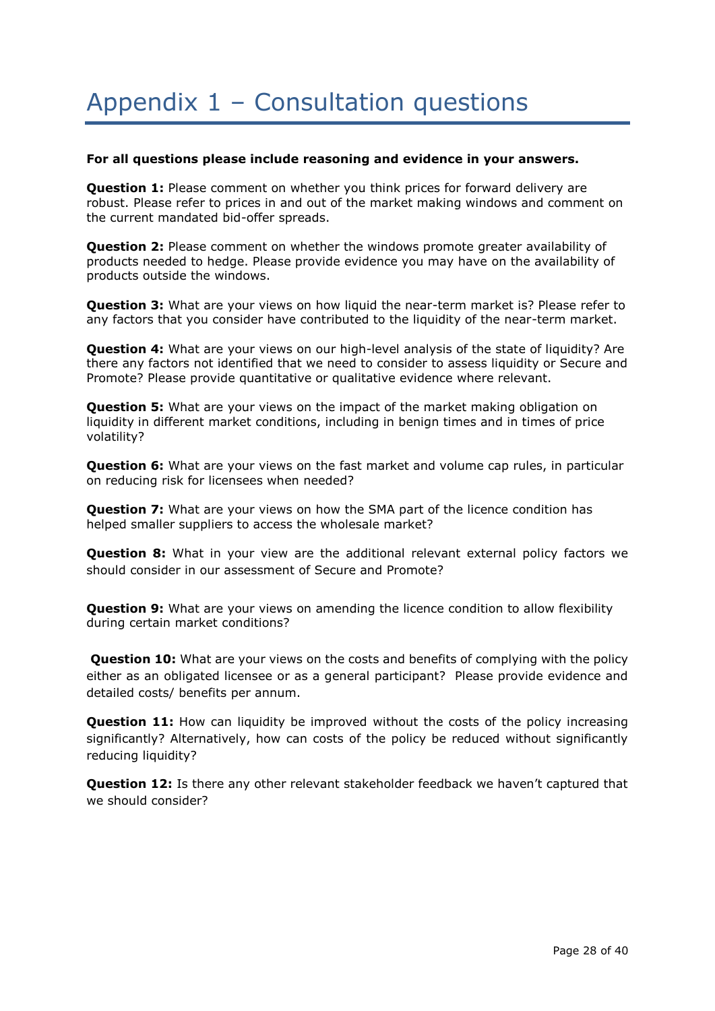## Appendix 1 – Consultation questions

#### **For all questions please include reasoning and evidence in your answers.**

**Question 1:** Please comment on whether you think prices for forward delivery are robust. Please refer to prices in and out of the market making windows and comment on the current mandated bid-offer spreads.

**Question 2:** Please comment on whether the windows promote greater availability of products needed to hedge. Please provide evidence you may have on the availability of products outside the windows.

**Question 3:** What are your views on how liquid the near-term market is? Please refer to any factors that you consider have contributed to the liquidity of the near-term market.

**Question 4:** What are your views on our high-level analysis of the state of liquidity? Are there any factors not identified that we need to consider to assess liquidity or Secure and Promote? Please provide quantitative or qualitative evidence where relevant.

**Question 5:** What are your views on the impact of the market making obligation on liquidity in different market conditions, including in benign times and in times of price volatility?

**Question 6:** What are your views on the fast market and volume cap rules, in particular on reducing risk for licensees when needed?

**Question 7:** What are your views on how the SMA part of the licence condition has helped smaller suppliers to access the wholesale market?

**Question 8:** What in your view are the additional relevant external policy factors we should consider in our assessment of Secure and Promote?

**Question 9:** What are your views on amending the licence condition to allow flexibility during certain market conditions?

**Question 10:** What are your views on the costs and benefits of complying with the policy either as an obligated licensee or as a general participant? Please provide evidence and detailed costs/ benefits per annum.

**Question 11:** How can liquidity be improved without the costs of the policy increasing significantly? Alternatively, how can costs of the policy be reduced without significantly reducing liquidity?

**Question 12:** Is there any other relevant stakeholder feedback we haven't captured that we should consider?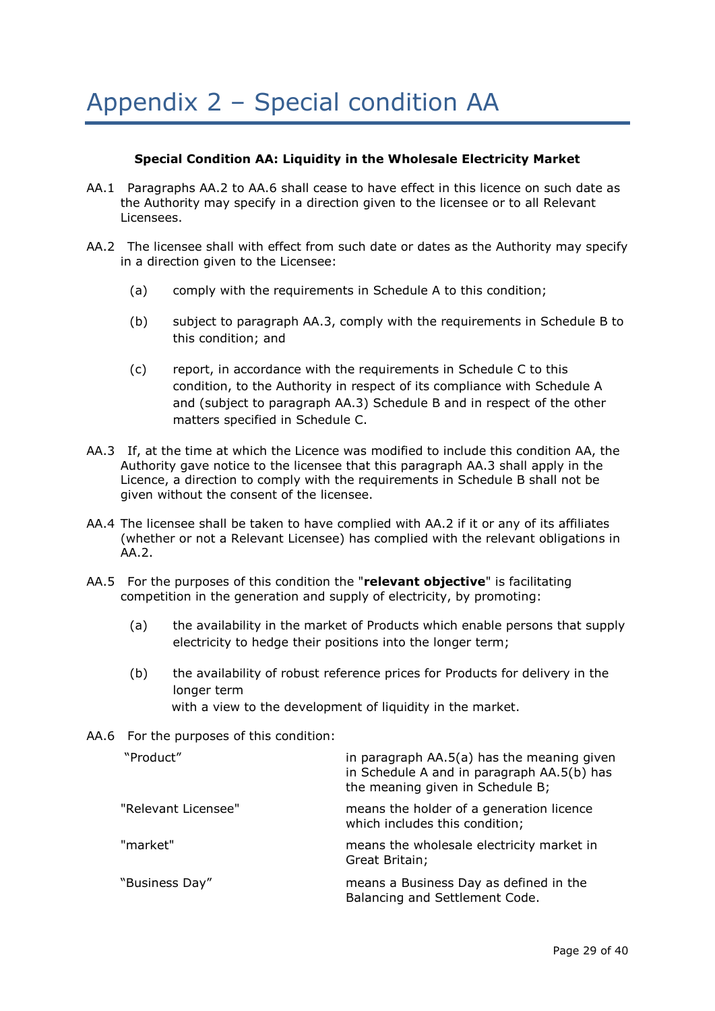## **Special Condition AA: Liquidity in the Wholesale Electricity Market**

- AA.1 Paragraphs AA.2 to AA.6 shall cease to have effect in this licence on such date as the Authority may specify in a direction given to the licensee or to all Relevant Licensees.
- AA.2 The licensee shall with effect from such date or dates as the Authority may specify in a direction given to the Licensee:
	- (a) comply with the requirements in Schedule A to this condition;
	- (b) subject to paragraph AA.3, comply with the requirements in Schedule B to this condition; and
	- (c) report, in accordance with the requirements in Schedule C to this condition, to the Authority in respect of its compliance with Schedule A and (subject to paragraph AA.3) Schedule B and in respect of the other matters specified in Schedule C.
- AA.3 If, at the time at which the Licence was modified to include this condition AA, the Authority gave notice to the licensee that this paragraph AA.3 shall apply in the Licence, a direction to comply with the requirements in Schedule B shall not be given without the consent of the licensee.
- AA.4 The licensee shall be taken to have complied with AA.2 if it or any of its affiliates (whether or not a Relevant Licensee) has complied with the relevant obligations in AA.2.
- AA.5 For the purposes of this condition the "**relevant objective**" is facilitating competition in the generation and supply of electricity, by promoting:
	- (a) the availability in the market of Products which enable persons that supply electricity to hedge their positions into the longer term;
	- (b) the availability of robust reference prices for Products for delivery in the longer term with a view to the development of liquidity in the market.
- AA.6 For the purposes of this condition:

| "Product"           | in paragraph AA.5(a) has the meaning given<br>in Schedule A and in paragraph AA.5(b) has<br>the meaning given in Schedule B; |
|---------------------|------------------------------------------------------------------------------------------------------------------------------|
| "Relevant Licensee" | means the holder of a generation licence<br>which includes this condition;                                                   |
| "market"            | means the wholesale electricity market in<br>Great Britain;                                                                  |
| "Business Day"      | means a Business Day as defined in the<br>Balancing and Settlement Code.                                                     |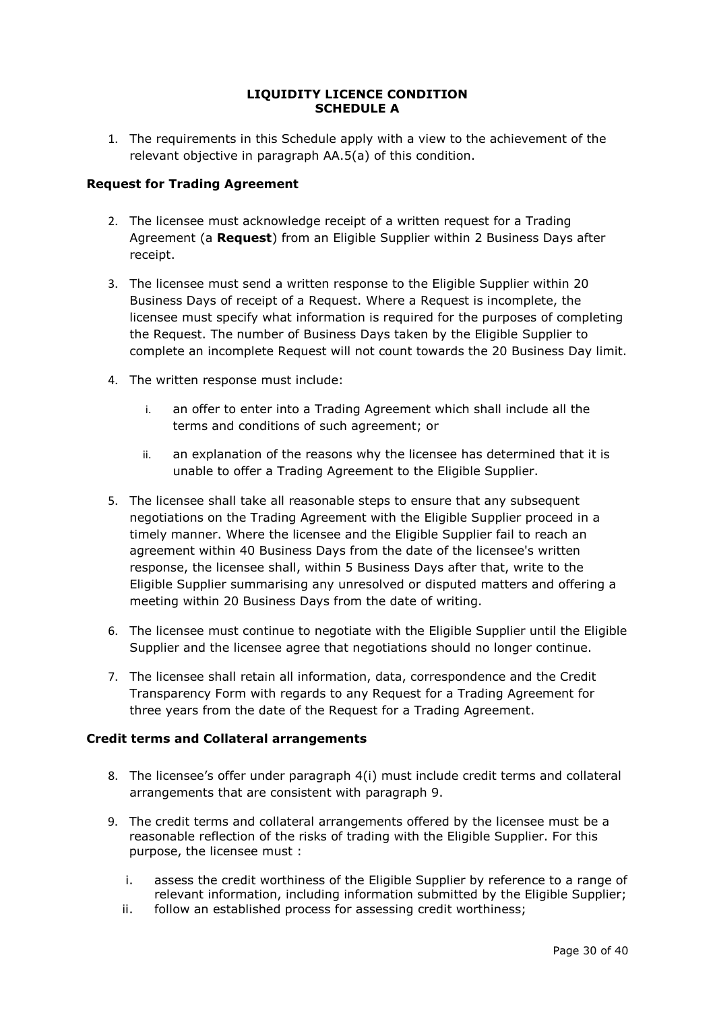## **LIQUIDITY LICENCE CONDITION SCHEDULE A**

1. The requirements in this Schedule apply with a view to the achievement of the relevant objective in paragraph AA.5(a) of this condition.

## **Request for Trading Agreement**

- 2. The licensee must acknowledge receipt of a written request for a Trading Agreement (a **Request**) from an Eligible Supplier within 2 Business Days after receipt.
- 3. The licensee must send a written response to the Eligible Supplier within 20 Business Days of receipt of a Request. Where a Request is incomplete, the licensee must specify what information is required for the purposes of completing the Request. The number of Business Days taken by the Eligible Supplier to complete an incomplete Request will not count towards the 20 Business Day limit.
- 4. The written response must include:
	- i. an offer to enter into a Trading Agreement which shall include all the terms and conditions of such agreement; or
	- ii. an explanation of the reasons why the licensee has determined that it is unable to offer a Trading Agreement to the Eligible Supplier.
- 5. The licensee shall take all reasonable steps to ensure that any subsequent negotiations on the Trading Agreement with the Eligible Supplier proceed in a timely manner. Where the licensee and the Eligible Supplier fail to reach an agreement within 40 Business Days from the date of the licensee's written response, the licensee shall, within 5 Business Days after that, write to the Eligible Supplier summarising any unresolved or disputed matters and offering a meeting within 20 Business Days from the date of writing.
- 6. The licensee must continue to negotiate with the Eligible Supplier until the Eligible Supplier and the licensee agree that negotiations should no longer continue.
- 7. The licensee shall retain all information, data, correspondence and the Credit Transparency Form with regards to any Request for a Trading Agreement for three years from the date of the Request for a Trading Agreement.

### **Credit terms and Collateral arrangements**

- 8. The licensee's offer under paragraph 4(i) must include credit terms and collateral arrangements that are consistent with paragraph 9.
- 9. The credit terms and collateral arrangements offered by the licensee must be a reasonable reflection of the risks of trading with the Eligible Supplier. For this purpose, the licensee must :
	- i. assess the credit worthiness of the Eligible Supplier by reference to a range of relevant information, including information submitted by the Eligible Supplier;
	- ii. follow an established process for assessing credit worthiness;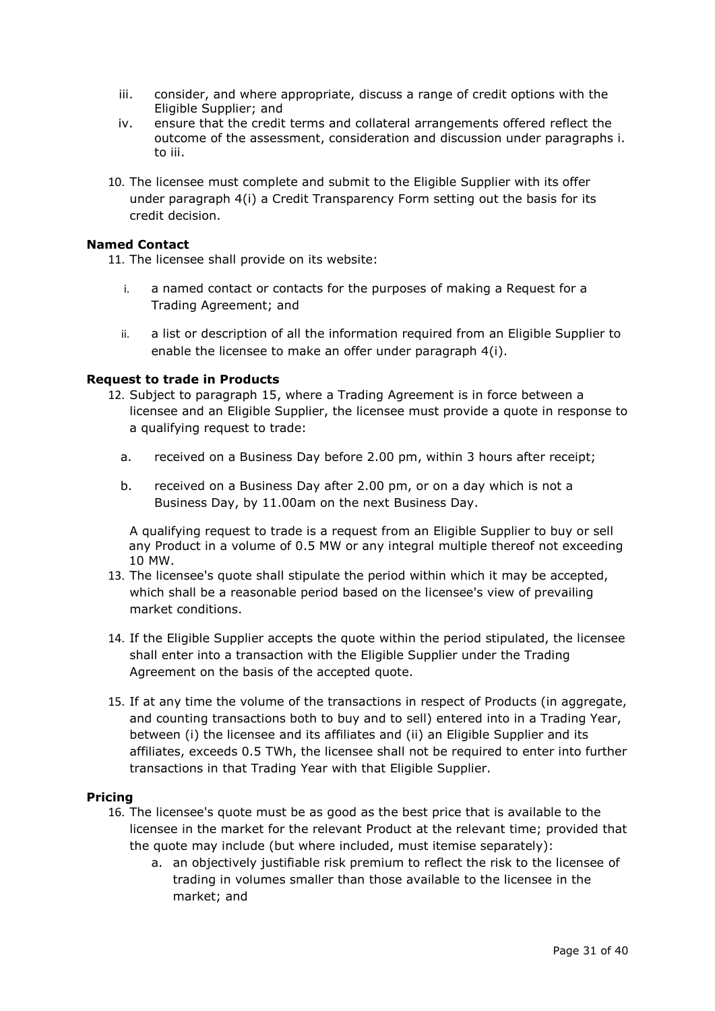- iii. consider, and where appropriate, discuss a range of credit options with the Eligible Supplier; and
- iv. ensure that the credit terms and collateral arrangements offered reflect the outcome of the assessment, consideration and discussion under paragraphs i. to iii.
- 10. The licensee must complete and submit to the Eligible Supplier with its offer under paragraph 4(i) a Credit Transparency Form setting out the basis for its credit decision.

## **Named Contact**

11. The licensee shall provide on its website:

- i. a named contact or contacts for the purposes of making a Request for a Trading Agreement; and
- ii. a list or description of all the information required from an Eligible Supplier to enable the licensee to make an offer under paragraph 4(i).

## **Request to trade in Products**

- 12. Subject to paragraph 15, where a Trading Agreement is in force between a licensee and an Eligible Supplier, the licensee must provide a quote in response to a qualifying request to trade:
	- a. received on a Business Day before 2.00 pm, within 3 hours after receipt;
	- b. received on a Business Day after 2.00 pm, or on a day which is not a Business Day, by 11.00am on the next Business Day.

A qualifying request to trade is a request from an Eligible Supplier to buy or sell any Product in a volume of 0.5 MW or any integral multiple thereof not exceeding 10 MW.

- 13. The licensee's quote shall stipulate the period within which it may be accepted, which shall be a reasonable period based on the licensee's view of prevailing market conditions.
- 14. If the Eligible Supplier accepts the quote within the period stipulated, the licensee shall enter into a transaction with the Eligible Supplier under the Trading Agreement on the basis of the accepted quote.
- 15. If at any time the volume of the transactions in respect of Products (in aggregate, and counting transactions both to buy and to sell) entered into in a Trading Year, between (i) the licensee and its affiliates and (ii) an Eligible Supplier and its affiliates, exceeds 0.5 TWh, the licensee shall not be required to enter into further transactions in that Trading Year with that Eligible Supplier.

### **Pricing**

- 16. The licensee's quote must be as good as the best price that is available to the licensee in the market for the relevant Product at the relevant time; provided that the quote may include (but where included, must itemise separately):
	- a. an objectively justifiable risk premium to reflect the risk to the licensee of trading in volumes smaller than those available to the licensee in the market; and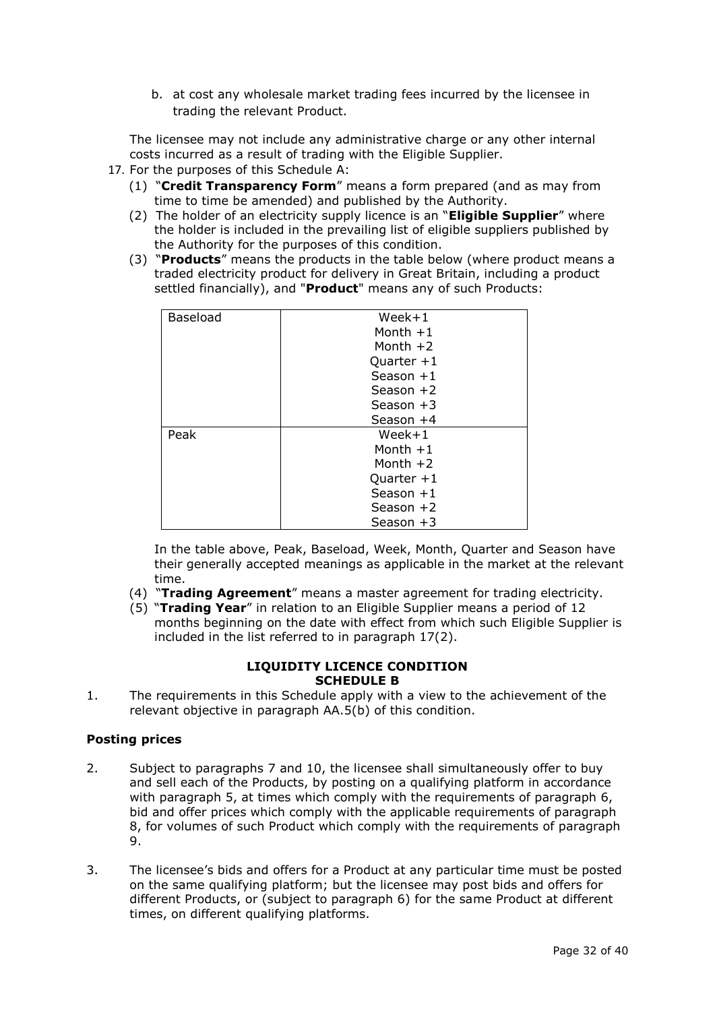b. at cost any wholesale market trading fees incurred by the licensee in trading the relevant Product.

The licensee may not include any administrative charge or any other internal costs incurred as a result of trading with the Eligible Supplier.

- 17. For the purposes of this Schedule A:
	- (1) "**Credit Transparency Form**" means a form prepared (and as may from time to time be amended) and published by the Authority.
	- (2) The holder of an electricity supply licence is an "**Eligible Supplier**" where the holder is included in the prevailing list of eligible suppliers published by the Authority for the purposes of this condition.
	- (3) "**Products**" means the products in the table below (where product means a traded electricity product for delivery in Great Britain, including a product settled financially), and "**Product**" means any of such Products:

| <b>Baseload</b> | $Week+1$     |
|-----------------|--------------|
|                 | Month $+1$   |
|                 | Month $+2$   |
|                 | Quarter $+1$ |
|                 | Season $+1$  |
|                 | Season $+2$  |
|                 | Season $+3$  |
|                 | Season $+4$  |
| Peak            | $Week+1$     |
|                 | Month $+1$   |
|                 | Month $+2$   |
|                 | Quarter $+1$ |
|                 | Season $+1$  |
|                 | Season $+2$  |
|                 | Season $+3$  |

In the table above, Peak, Baseload, Week, Month, Quarter and Season have their generally accepted meanings as applicable in the market at the relevant time.

- (4) "**Trading Agreement**" means a master agreement for trading electricity.
- (5) "**Trading Year**" in relation to an Eligible Supplier means a period of 12 months beginning on the date with effect from which such Eligible Supplier is included in the list referred to in paragraph 17(2).

### **LIQUIDITY LICENCE CONDITION SCHEDULE B**

1. The requirements in this Schedule apply with a view to the achievement of the relevant objective in paragraph AA.5(b) of this condition.

## **Posting prices**

- 2. Subject to paragraphs 7 and 10, the licensee shall simultaneously offer to buy and sell each of the Products, by posting on a qualifying platform in accordance with paragraph 5, at times which comply with the requirements of paragraph 6, bid and offer prices which comply with the applicable requirements of paragraph 8, for volumes of such Product which comply with the requirements of paragraph 9.
- 3. The licensee's bids and offers for a Product at any particular time must be posted on the same qualifying platform; but the licensee may post bids and offers for different Products, or (subject to paragraph 6) for the same Product at different times, on different qualifying platforms.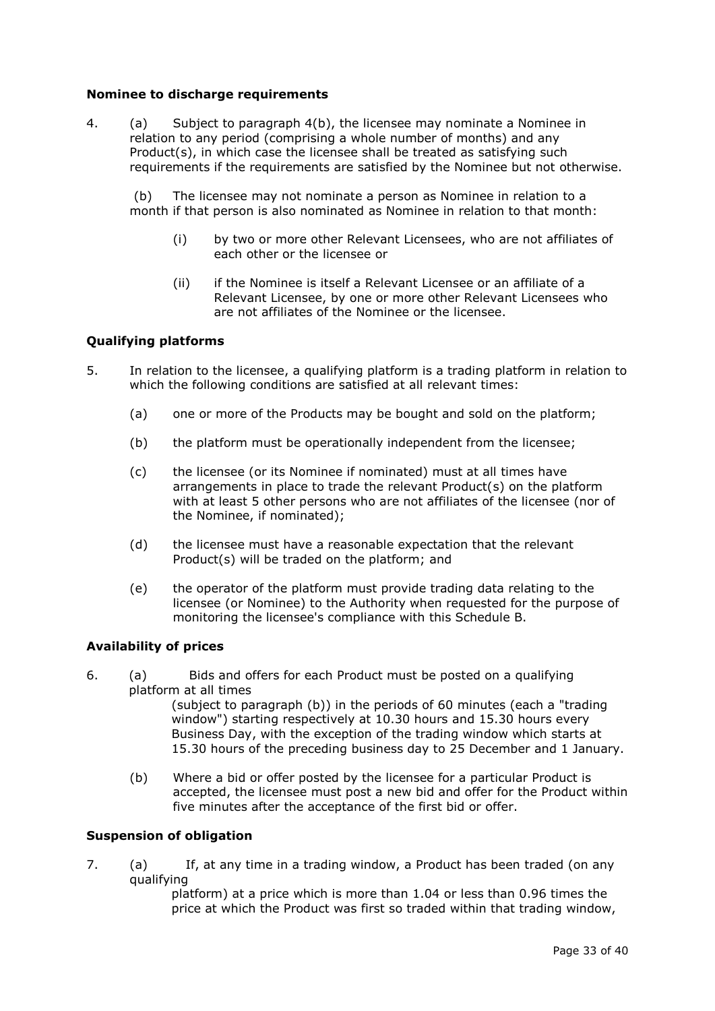## **Nominee to discharge requirements**

4. (a) Subject to paragraph 4(b), the licensee may nominate a Nominee in relation to any period (comprising a whole number of months) and any Product(s), in which case the licensee shall be treated as satisfying such requirements if the requirements are satisfied by the Nominee but not otherwise.

(b) The licensee may not nominate a person as Nominee in relation to a month if that person is also nominated as Nominee in relation to that month:

- (i) by two or more other Relevant Licensees, who are not affiliates of each other or the licensee or
- (ii) if the Nominee is itself a Relevant Licensee or an affiliate of a Relevant Licensee, by one or more other Relevant Licensees who are not affiliates of the Nominee or the licensee.

## **Qualifying platforms**

- 5. In relation to the licensee, a qualifying platform is a trading platform in relation to which the following conditions are satisfied at all relevant times:
	- (a) one or more of the Products may be bought and sold on the platform;
	- (b) the platform must be operationally independent from the licensee;
	- (c) the licensee (or its Nominee if nominated) must at all times have arrangements in place to trade the relevant Product(s) on the platform with at least 5 other persons who are not affiliates of the licensee (nor of the Nominee, if nominated);
	- (d) the licensee must have a reasonable expectation that the relevant Product(s) will be traded on the platform; and
	- (e) the operator of the platform must provide trading data relating to the licensee (or Nominee) to the Authority when requested for the purpose of monitoring the licensee's compliance with this Schedule B.

### **Availability of prices**

6. (a) Bids and offers for each Product must be posted on a qualifying platform at all times

(subject to paragraph (b)) in the periods of 60 minutes (each a "trading window") starting respectively at 10.30 hours and 15.30 hours every Business Day, with the exception of the trading window which starts at 15.30 hours of the preceding business day to 25 December and 1 January.

(b) Where a bid or offer posted by the licensee for a particular Product is accepted, the licensee must post a new bid and offer for the Product within five minutes after the acceptance of the first bid or offer.

## **Suspension of obligation**

7. (a) If, at any time in a trading window, a Product has been traded (on any qualifying

platform) at a price which is more than 1.04 or less than 0.96 times the price at which the Product was first so traded within that trading window,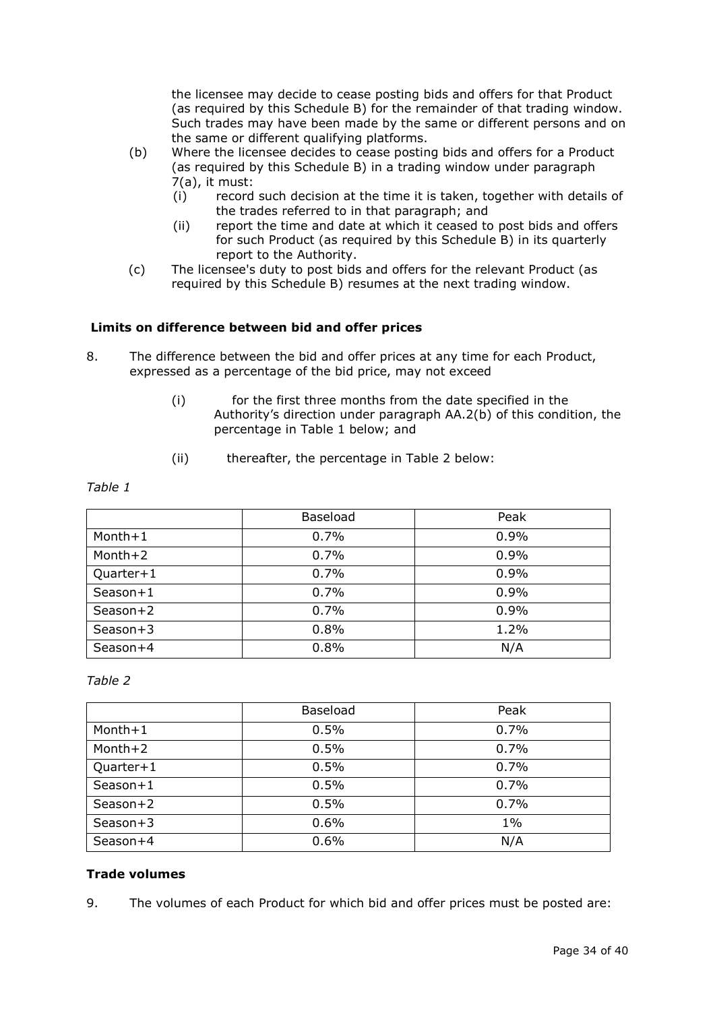the licensee may decide to cease posting bids and offers for that Product (as required by this Schedule B) for the remainder of that trading window. Such trades may have been made by the same or different persons and on the same or different qualifying platforms.

- (b) Where the licensee decides to cease posting bids and offers for a Product (as required by this Schedule B) in a trading window under paragraph 7(a), it must:
	- (i) record such decision at the time it is taken, together with details of the trades referred to in that paragraph; and
	- (ii) report the time and date at which it ceased to post bids and offers for such Product (as required by this Schedule B) in its quarterly report to the Authority.
- (c) The licensee's duty to post bids and offers for the relevant Product (as required by this Schedule B) resumes at the next trading window.

## **Limits on difference between bid and offer prices**

- 8. The difference between the bid and offer prices at any time for each Product, expressed as a percentage of the bid price, may not exceed
	- (i) for the first three months from the date specified in the Authority's direction under paragraph AA.2(b) of this condition, the percentage in Table 1 below; and
	- (ii) thereafter, the percentage in Table 2 below:

| Table 1 |  |
|---------|--|
|---------|--|

|            | Baseload | Peak |
|------------|----------|------|
| $Month+1$  | 0.7%     | 0.9% |
| Month+2    | 0.7%     | 0.9% |
| Quarter+1  | 0.7%     | 0.9% |
| Season+1   | 0.7%     | 0.9% |
| Season+2   | 0.7%     | 0.9% |
| $Season+3$ | 0.8%     | 1.2% |
| $Searon+4$ | 0.8%     | N/A  |

## *Table 2*

|            | Baseload | Peak  |
|------------|----------|-------|
| $Month+1$  | 0.5%     | 0.7%  |
| Month+2    | 0.5%     | 0.7%  |
| Quarter+1  | 0.5%     | 0.7%  |
| Season+1   | 0.5%     | 0.7%  |
| Season+2   | 0.5%     | 0.7%  |
| $Season+3$ | 0.6%     | $1\%$ |
| Season+4   | 0.6%     | N/A   |

## **Trade volumes**

9. The volumes of each Product for which bid and offer prices must be posted are: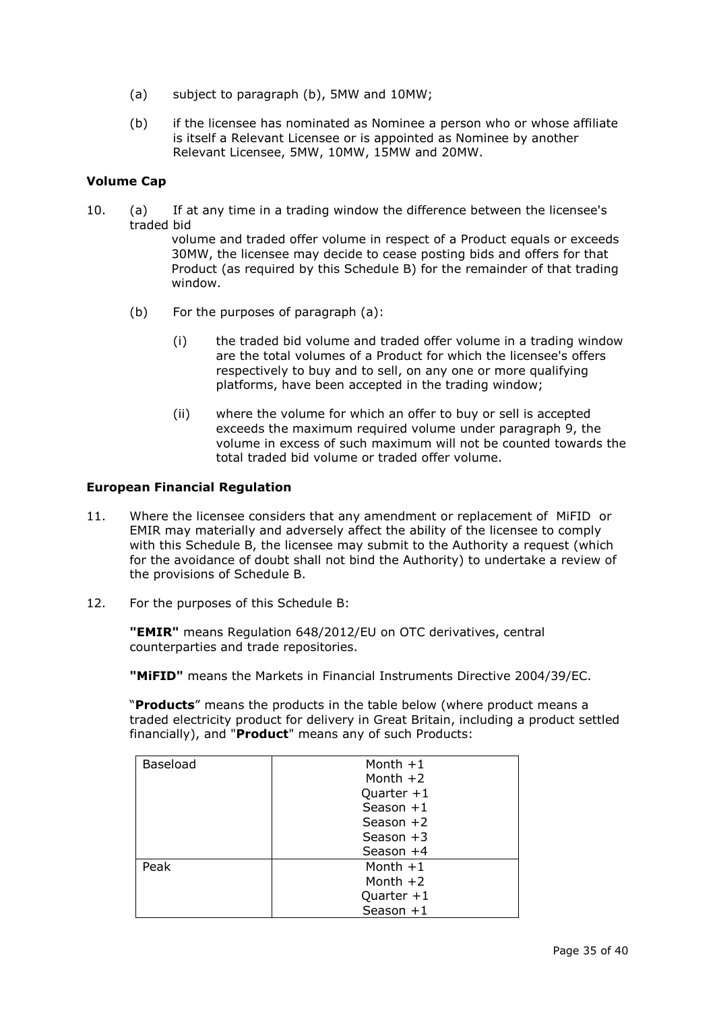- (a) subject to paragraph (b), 5MW and 10MW;
- (b) if the licensee has nominated as Nominee a person who or whose affiliate is itself a Relevant Licensee or is appointed as Nominee by another Relevant Licensee, 5MW, 10MW, 15MW and 20MW.

## **Volume Cap**

10. (a) If at any time in a trading window the difference between the licensee's traded bid

volume and traded offer volume in respect of a Product equals or exceeds 30MW, the licensee may decide to cease posting bids and offers for that Product (as required by this Schedule B) for the remainder of that trading window.

- (b) For the purposes of paragraph (a):
	- (i) the traded bid volume and traded offer volume in a trading window are the total volumes of a Product for which the licensee's offers respectively to buy and to sell, on any one or more qualifying platforms, have been accepted in the trading window;
	- (ii) where the volume for which an offer to buy or sell is accepted exceeds the maximum required volume under paragraph 9, the volume in excess of such maximum will not be counted towards the total traded bid volume or traded offer volume.

### **European Financial Regulation**

- 11. Where the licensee considers that any amendment or replacement of MiFID or EMIR may materially and adversely affect the ability of the licensee to comply with this Schedule B, the licensee may submit to the Authority a request (which for the avoidance of doubt shall not bind the Authority) to undertake a review of the provisions of Schedule B.
- 12. For the purposes of this Schedule B:

**"EMIR"** means Regulation 648/2012/EU on OTC derivatives, central counterparties and trade repositories.

**"MiFID"** means the Markets in Financial Instruments Directive 2004/39/EC.

"**Products**" means the products in the table below (where product means a traded electricity product for delivery in Great Britain, including a product settled financially), and "**Product**" means any of such Products:

| Baseload | Month $+1$   |
|----------|--------------|
|          | Month $+2$   |
|          | Quarter $+1$ |
|          | Season $+1$  |
|          | Season $+2$  |
|          | Season $+3$  |
|          | Season $+4$  |
| Peak     | Month $+1$   |
|          | Month $+2$   |
|          | Quarter $+1$ |
|          | Season +1    |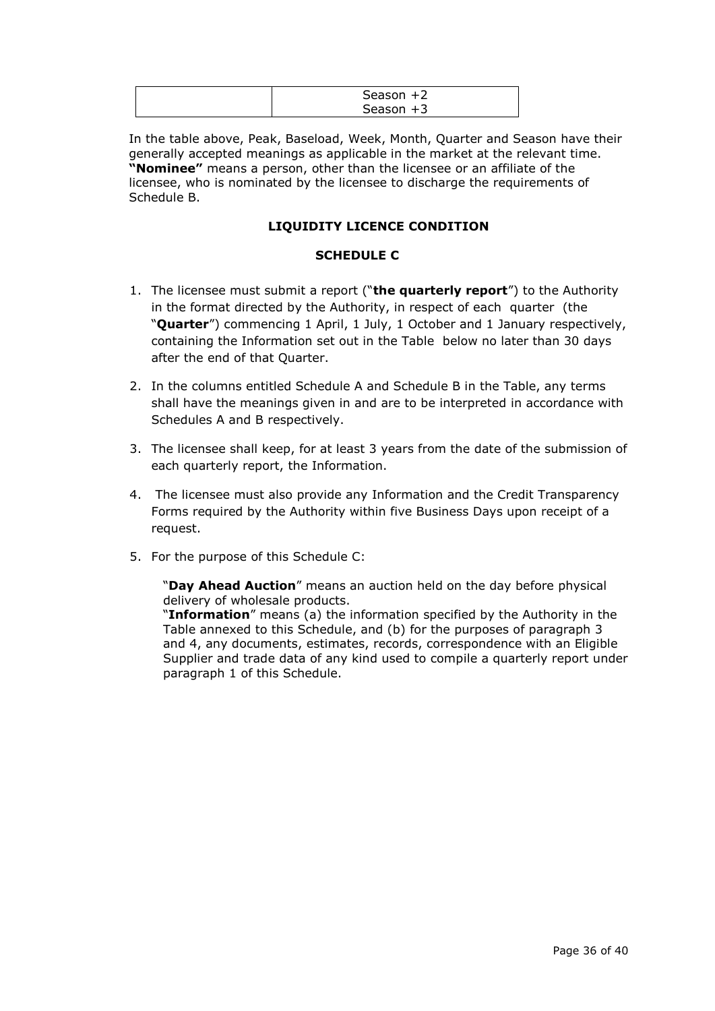| Season $+2$ |  |
|-------------|--|
| Season $+3$ |  |

In the table above, Peak, Baseload, Week, Month, Quarter and Season have their generally accepted meanings as applicable in the market at the relevant time. **"Nominee"** means a person, other than the licensee or an affiliate of the licensee, who is nominated by the licensee to discharge the requirements of Schedule B.

## **LIQUIDITY LICENCE CONDITION**

## **SCHEDULE C**

- 1. The licensee must submit a report ("**the quarterly report**") to the Authority in the format directed by the Authority, in respect of each quarter (the "**Quarter**") commencing 1 April, 1 July, 1 October and 1 January respectively, containing the Information set out in the Table below no later than 30 days after the end of that Quarter.
- 2. In the columns entitled Schedule A and Schedule B in the Table, any terms shall have the meanings given in and are to be interpreted in accordance with Schedules A and B respectively.
- 3. The licensee shall keep, for at least 3 years from the date of the submission of each quarterly report, the Information.
- 4. The licensee must also provide any Information and the Credit Transparency Forms required by the Authority within five Business Days upon receipt of a request.
- 5. For the purpose of this Schedule C:

"**Day Ahead Auction**" means an auction held on the day before physical delivery of wholesale products.

"**Information**" means (a) the information specified by the Authority in the Table annexed to this Schedule, and (b) for the purposes of paragraph 3 and 4, any documents, estimates, records, correspondence with an Eligible Supplier and trade data of any kind used to compile a quarterly report under paragraph 1 of this Schedule.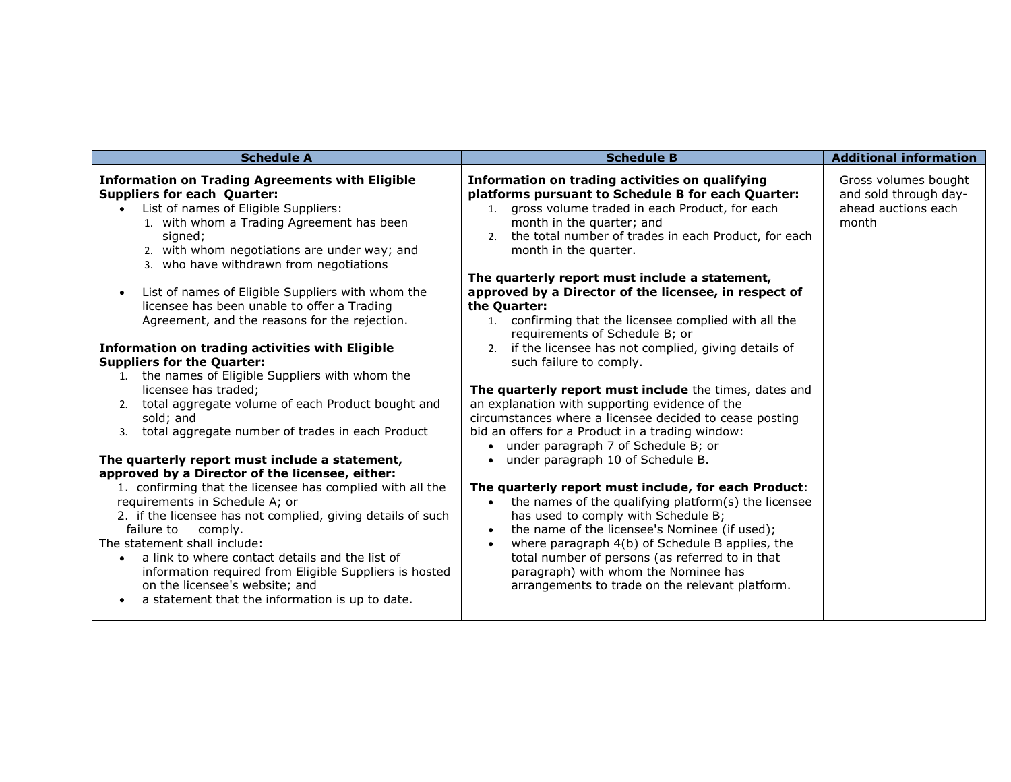| <b>Schedule A</b>                                                                                                                                                                                                                                                                                                                                                                                                                                                                                                                                                                                                                                                                                                                                                                                                                                                                                                                                                                                                                                                                                                                                                                                                                                                                                              | <b>Schedule B</b>                                                                                                                                                                                                                                                                                                                                                                                                                                                                                                                                                                                                                                                                                                                                                                                                                                                                                                                                                                                                                                                                                                                                                                                                                                                                                                               | <b>Additional information</b>                                                 |
|----------------------------------------------------------------------------------------------------------------------------------------------------------------------------------------------------------------------------------------------------------------------------------------------------------------------------------------------------------------------------------------------------------------------------------------------------------------------------------------------------------------------------------------------------------------------------------------------------------------------------------------------------------------------------------------------------------------------------------------------------------------------------------------------------------------------------------------------------------------------------------------------------------------------------------------------------------------------------------------------------------------------------------------------------------------------------------------------------------------------------------------------------------------------------------------------------------------------------------------------------------------------------------------------------------------|---------------------------------------------------------------------------------------------------------------------------------------------------------------------------------------------------------------------------------------------------------------------------------------------------------------------------------------------------------------------------------------------------------------------------------------------------------------------------------------------------------------------------------------------------------------------------------------------------------------------------------------------------------------------------------------------------------------------------------------------------------------------------------------------------------------------------------------------------------------------------------------------------------------------------------------------------------------------------------------------------------------------------------------------------------------------------------------------------------------------------------------------------------------------------------------------------------------------------------------------------------------------------------------------------------------------------------|-------------------------------------------------------------------------------|
| <b>Information on Trading Agreements with Eligible</b><br><b>Suppliers for each Quarter:</b><br>List of names of Eligible Suppliers:<br>1. with whom a Trading Agreement has been<br>signed;<br>2. with whom negotiations are under way; and<br>3. who have withdrawn from negotiations<br>List of names of Eligible Suppliers with whom the<br>$\bullet$<br>licensee has been unable to offer a Trading<br>Agreement, and the reasons for the rejection.<br><b>Information on trading activities with Eligible</b><br><b>Suppliers for the Quarter:</b><br>1. the names of Eligible Suppliers with whom the<br>licensee has traded;<br>2. total aggregate volume of each Product bought and<br>sold; and<br>total aggregate number of trades in each Product<br>3.<br>The quarterly report must include a statement,<br>approved by a Director of the licensee, either:<br>1. confirming that the licensee has complied with all the<br>requirements in Schedule A; or<br>2. if the licensee has not complied, giving details of such<br>failure to<br>comply.<br>The statement shall include:<br>a link to where contact details and the list of<br>$\bullet$<br>information required from Eligible Suppliers is hosted<br>on the licensee's website; and<br>a statement that the information is up to date. | Information on trading activities on qualifying<br>platforms pursuant to Schedule B for each Quarter:<br>1. gross volume traded in each Product, for each<br>month in the quarter; and<br>2. the total number of trades in each Product, for each<br>month in the quarter.<br>The quarterly report must include a statement,<br>approved by a Director of the licensee, in respect of<br>the Quarter:<br>1. confirming that the licensee complied with all the<br>requirements of Schedule B; or<br>2. if the licensee has not complied, giving details of<br>such failure to comply.<br>The quarterly report must include the times, dates and<br>an explanation with supporting evidence of the<br>circumstances where a licensee decided to cease posting<br>bid an offers for a Product in a trading window:<br>under paragraph 7 of Schedule B; or<br>under paragraph 10 of Schedule B.<br>$\bullet$<br>The quarterly report must include, for each Product:<br>the names of the qualifying platform(s) the licensee<br>$\bullet$<br>has used to comply with Schedule B;<br>the name of the licensee's Nominee (if used);<br>where paragraph 4(b) of Schedule B applies, the<br>total number of persons (as referred to in that<br>paragraph) with whom the Nominee has<br>arrangements to trade on the relevant platform. | Gross volumes bought<br>and sold through day-<br>ahead auctions each<br>month |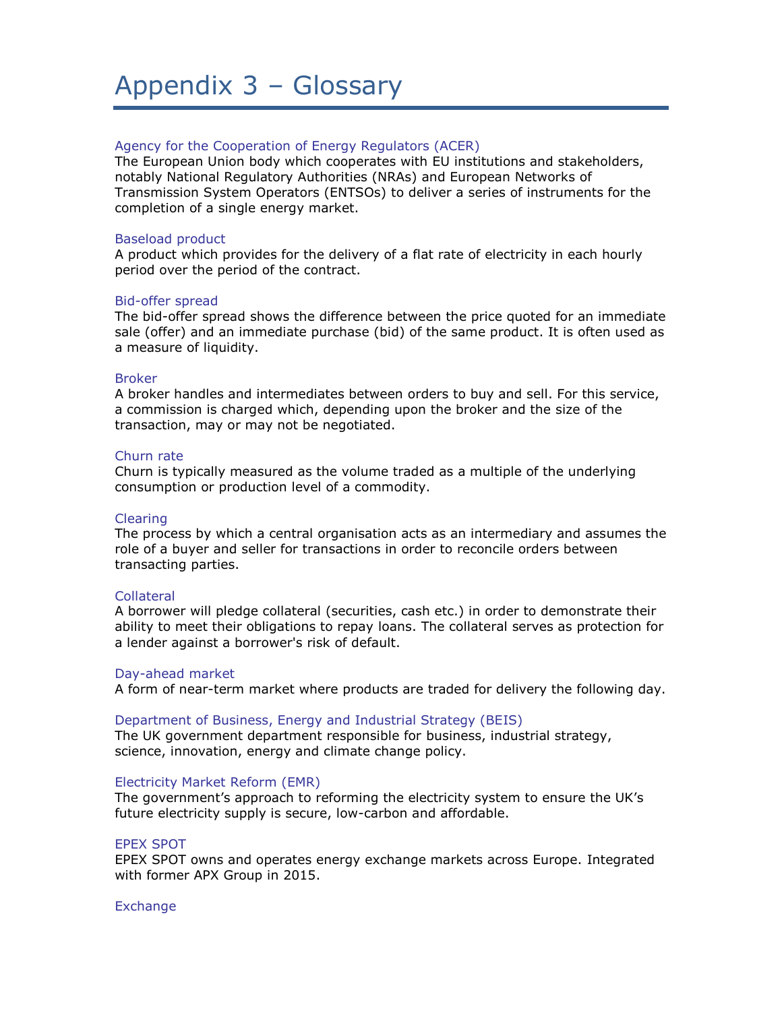## Appendix 3 – Glossary

#### Agency for the Cooperation of Energy Regulators (ACER)

The European Union body which cooperates with EU institutions and stakeholders, notably National Regulatory Authorities (NRAs) and European Networks of Transmission System Operators (ENTSOs) to deliver a series of instruments for the completion of a single energy market.

#### Baseload product

A product which provides for the delivery of a flat rate of electricity in each hourly period over the period of the contract.

#### Bid-offer spread

The bid-offer spread shows the difference between the price quoted for an immediate sale (offer) and an immediate purchase (bid) of the same product. It is often used as a measure of liquidity.

#### Broker

A broker handles and intermediates between orders to buy and sell. For this service, a commission is charged which, depending upon the broker and the size of the transaction, may or may not be negotiated.

#### Churn rate

Churn is typically measured as the volume traded as a multiple of the underlying consumption or production level of a commodity.

#### Clearing

The process by which a central organisation acts as an intermediary and assumes the role of a buyer and seller for transactions in order to reconcile orders between transacting parties.

#### Collateral

A borrower will pledge collateral (securities, cash etc.) in order to demonstrate their ability to meet their obligations to repay loans. The collateral serves as protection for a lender against a borrower's risk of default.

#### Day-ahead market

A form of near-term market where products are traded for delivery the following day.

#### Department of Business, Energy and Industrial Strategy (BEIS)

The UK government department responsible for business, industrial strategy, science, innovation, energy and climate change policy.

#### Electricity Market Reform (EMR)

The government's approach to reforming the electricity system to ensure the UK's future electricity supply is secure, low-carbon and affordable.

#### EPEX SPOT

EPEX SPOT owns and operates energy exchange markets across Europe. Integrated with former APX Group in 2015.

#### **Exchange**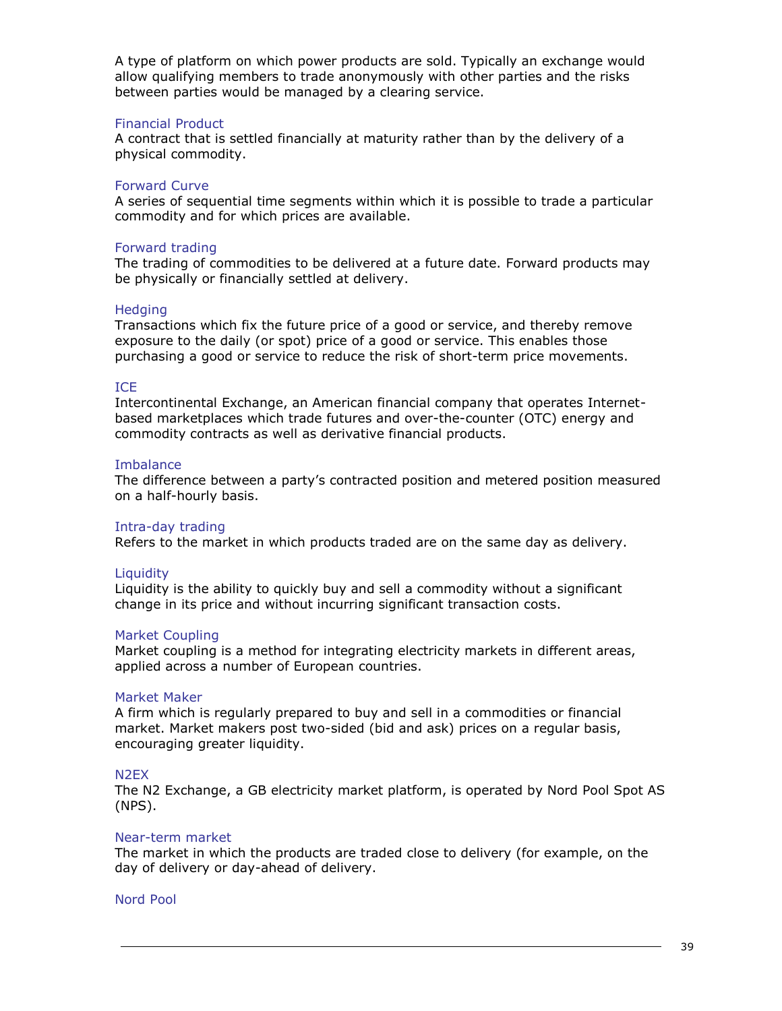A type of platform on which power products are sold. Typically an exchange would allow qualifying members to trade anonymously with other parties and the risks between parties would be managed by a clearing service.

#### Financial Product

A contract that is settled financially at maturity rather than by the delivery of a physical commodity.

#### Forward Curve

A series of sequential time segments within which it is possible to trade a particular commodity and for which prices are available.

#### Forward trading

The trading of commodities to be delivered at a future date. Forward products may be physically or financially settled at delivery.

#### **Hedging**

Transactions which fix the future price of a good or service, and thereby remove exposure to the daily (or spot) price of a good or service. This enables those purchasing a good or service to reduce the risk of short-term price movements.

#### ICE

Intercontinental Exchange, an American financial company that operates Internetbased marketplaces which trade futures and over-the-counter (OTC) energy and commodity contracts as well as derivative financial products.

#### **Imbalance**

The difference between a party's contracted position and metered position measured on a half-hourly basis.

#### Intra-day trading

Refers to the market in which products traded are on the same day as delivery.

#### **Liquidity**

Liquidity is the ability to quickly buy and sell a commodity without a significant change in its price and without incurring significant transaction costs.

#### Market Coupling

Market coupling is a method for integrating electricity markets in different areas, applied across a number of European countries.

#### Market Maker

A firm which is regularly prepared to buy and sell in a commodities or financial market. Market makers post two-sided (bid and ask) prices on a regular basis, encouraging greater liquidity.

#### N2EX

The N2 Exchange, a GB electricity market platform, is operated by Nord Pool Spot AS (NPS).

#### Near-term market

The market in which the products are traded close to delivery (for example, on the day of delivery or day-ahead of delivery.

#### Nord Pool